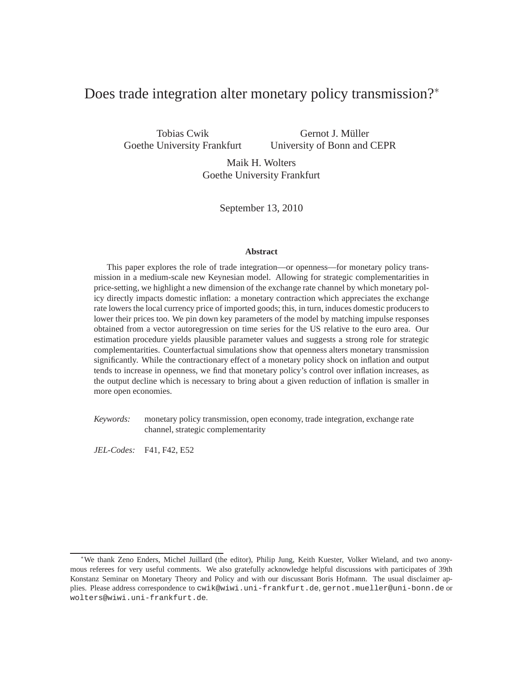# Does trade integration alter monetary policy transmission?\*

Tobias Cwik Goethe University Frankfurt

Gernot J. Müller University of Bonn and CEPR

Maik H. Wolters Goethe University Frankfurt

September 13, 2010

#### **Abstract**

This paper explores the role of trade integration—or openness—for monetary policy transmission in a medium-scale new Keynesian model. Allowing for strategic complementarities in price-setting, we highlight a new dimension of the exchange rate channel by which monetary policy directly impacts domestic inflation: a monetary contraction which appreciates the exchange rate lowers the local currency price of imported goods; this, in turn, induces domestic producers to lower their prices too. We pin down key parameters of the model by matching impulse responses obtained from a vector autoregression on time series for the US relative to the euro area. Our estimation procedure yields plausible parameter values and suggests a strong role for strategic complementarities. Counterfactual simulations show that openness alters monetary transmission significantly. While the contractionary effect of a monetary policy shock on inflation and output tends to increase in openness, we find that monetary policy's control over inflation increases, as the output decline which is necessary to bring about a given reduction of inflation is smaller in more open economies.

*Keywords:* monetary policy transmission, open economy, trade integration, exchange rate channel, strategic complementarity

*JEL-Codes:* F41, F42, E52

<sup>∗</sup>We thank Zeno Enders, Michel Juillard (the editor), Philip Jung, Keith Kuester, Volker Wieland, and two anonymous referees for very useful comments. We also gratefully acknowledge helpful discussions with participates of 39th Konstanz Seminar on Monetary Theory and Policy and with our discussant Boris Hofmann. The usual disclaimer applies. Please address correspondence to cwik@wiwi.uni-frankfurt.de, gernot.mueller@uni-bonn.de or wolters@wiwi.uni-frankfurt.de.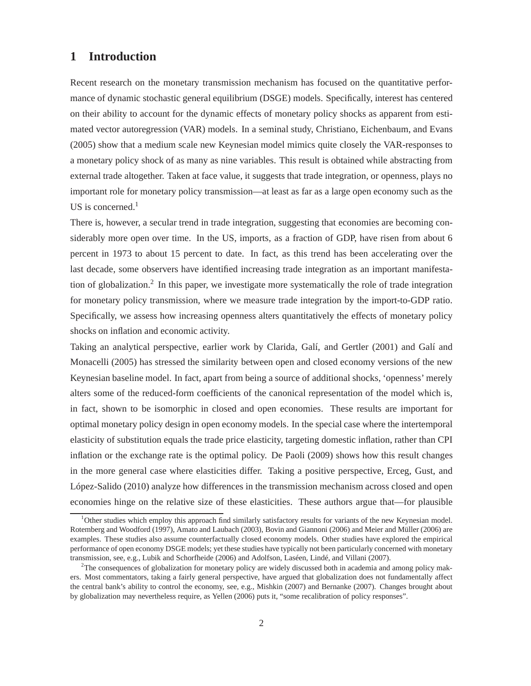# **1 Introduction**

Recent research on the monetary transmission mechanism has focused on the quantitative performance of dynamic stochastic general equilibrium (DSGE) models. Specifically, interest has centered on their ability to account for the dynamic effects of monetary policy shocks as apparent from estimated vector autoregression (VAR) models. In a seminal study, Christiano, Eichenbaum, and Evans (2005) show that a medium scale new Keynesian model mimics quite closely the VAR-responses to a monetary policy shock of as many as nine variables. This result is obtained while abstracting from external trade altogether. Taken at face value, it suggests that trade integration, or openness, plays no important role for monetary policy transmission—at least as far as a large open economy such as the US is concerned. $<sup>1</sup>$ </sup>

There is, however, a secular trend in trade integration, suggesting that economies are becoming considerably more open over time. In the US, imports, as a fraction of GDP, have risen from about 6 percent in 1973 to about 15 percent to date. In fact, as this trend has been accelerating over the last decade, some observers have identified increasing trade integration as an important manifestation of globalization.<sup>2</sup> In this paper, we investigate more systematically the role of trade integration for monetary policy transmission, where we measure trade integration by the import-to-GDP ratio. Specifically, we assess how increasing openness alters quantitatively the effects of monetary policy shocks on inflation and economic activity.

Taking an analytical perspective, earlier work by Clarida, Galí, and Gertler (2001) and Galí and Monacelli (2005) has stressed the similarity between open and closed economy versions of the new Keynesian baseline model. In fact, apart from being a source of additional shocks, 'openness' merely alters some of the reduced-form coefficients of the canonical representation of the model which is, in fact, shown to be isomorphic in closed and open economies. These results are important for optimal monetary policy design in open economy models. In the special case where the intertemporal elasticity of substitution equals the trade price elasticity, targeting domestic inflation, rather than CPI inflation or the exchange rate is the optimal policy. De Paoli (2009) shows how this result changes in the more general case where elasticities differ. Taking a positive perspective, Erceg, Gust, and López-Salido (2010) analyze how differences in the transmission mechanism across closed and open economies hinge on the relative size of these elasticities. These authors argue that—for plausible

<sup>&</sup>lt;sup>1</sup>Other studies which employ this approach find similarly satisfactory results for variants of the new Keynesian model. Rotemberg and Woodford (1997), Amato and Laubach (2003), Bovin and Giannoni (2006) and Meier and Müller (2006) are examples. These studies also assume counterfactually closed economy models. Other studies have explored the empirical performance of open economy DSGE models; yet these studies have typically not been particularly concerned with monetary transmission, see, e.g., Lubik and Schorfheide (2006) and Adolfson, Laséen, Lindé, and Villani (2007).

 $2<sup>2</sup>$ The consequences of globalization for monetary policy are widely discussed both in academia and among policy makers. Most commentators, taking a fairly general perspective, have argued that globalization does not fundamentally affect the central bank's ability to control the economy, see, e.g., Mishkin (2007) and Bernanke (2007). Changes brought about by globalization may nevertheless require, as Yellen (2006) puts it, "some recalibration of policy responses".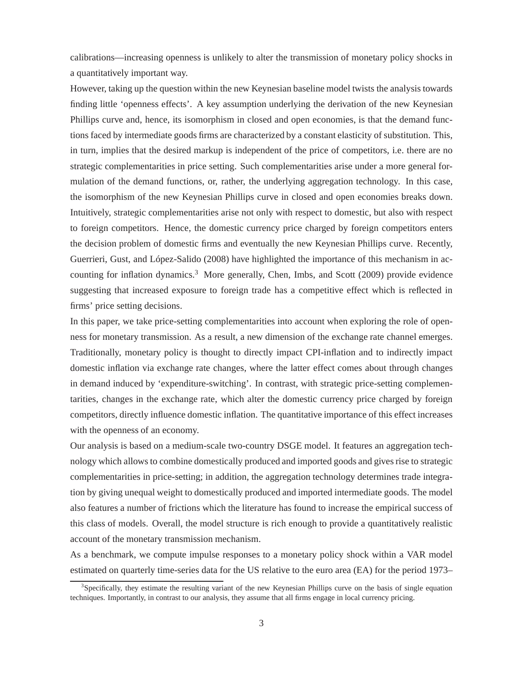calibrations—increasing openness is unlikely to alter the transmission of monetary policy shocks in a quantitatively important way.

However, taking up the question within the new Keynesian baseline model twists the analysis towards finding little 'openness effects'. A key assumption underlying the derivation of the new Keynesian Phillips curve and, hence, its isomorphism in closed and open economies, is that the demand functions faced by intermediate goods firms are characterized by a constant elasticity of substitution. This, in turn, implies that the desired markup is independent of the price of competitors, i.e. there are no strategic complementarities in price setting. Such complementarities arise under a more general formulation of the demand functions, or, rather, the underlying aggregation technology. In this case, the isomorphism of the new Keynesian Phillips curve in closed and open economies breaks down. Intuitively, strategic complementarities arise not only with respect to domestic, but also with respect to foreign competitors. Hence, the domestic currency price charged by foreign competitors enters the decision problem of domestic firms and eventually the new Keynesian Phillips curve. Recently, Guerrieri, Gust, and López-Salido (2008) have highlighted the importance of this mechanism in accounting for inflation dynamics.<sup>3</sup> More generally, Chen, Imbs, and Scott (2009) provide evidence suggesting that increased exposure to foreign trade has a competitive effect which is reflected in firms' price setting decisions.

In this paper, we take price-setting complementarities into account when exploring the role of openness for monetary transmission. As a result, a new dimension of the exchange rate channel emerges. Traditionally, monetary policy is thought to directly impact CPI-inflation and to indirectly impact domestic inflation via exchange rate changes, where the latter effect comes about through changes in demand induced by 'expenditure-switching'. In contrast, with strategic price-setting complementarities, changes in the exchange rate, which alter the domestic currency price charged by foreign competitors, directly influence domestic inflation. The quantitative importance of this effect increases with the openness of an economy.

Our analysis is based on a medium-scale two-country DSGE model. It features an aggregation technology which allows to combine domestically produced and imported goods and gives rise to strategic complementarities in price-setting; in addition, the aggregation technology determines trade integration by giving unequal weight to domestically produced and imported intermediate goods. The model also features a number of frictions which the literature has found to increase the empirical success of this class of models. Overall, the model structure is rich enough to provide a quantitatively realistic account of the monetary transmission mechanism.

As a benchmark, we compute impulse responses to a monetary policy shock within a VAR model estimated on quarterly time-series data for the US relative to the euro area (EA) for the period 1973–

<sup>3</sup>Specifically, they estimate the resulting variant of the new Keynesian Phillips curve on the basis of single equation techniques. Importantly, in contrast to our analysis, they assume that all firms engage in local currency pricing.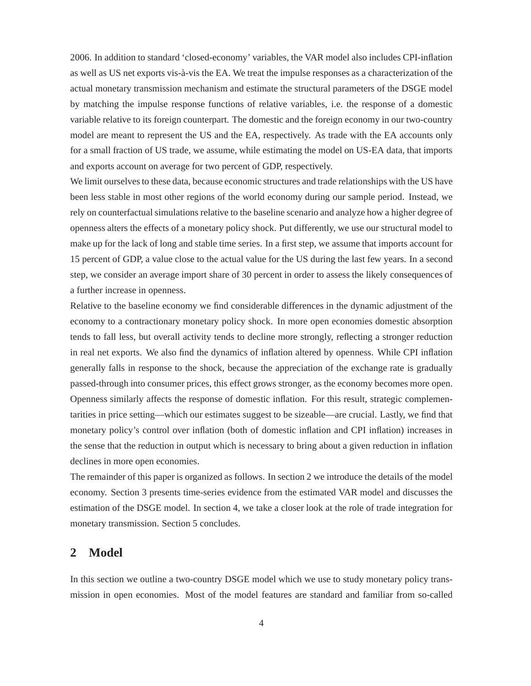2006. In addition to standard 'closed-economy' variables, the VAR model also includes CPI-inflation as well as US net exports vis-à-vis the EA. We treat the impulse responses as a characterization of the actual monetary transmission mechanism and estimate the structural parameters of the DSGE model by matching the impulse response functions of relative variables, i.e. the response of a domestic variable relative to its foreign counterpart. The domestic and the foreign economy in our two-country model are meant to represent the US and the EA, respectively. As trade with the EA accounts only for a small fraction of US trade, we assume, while estimating the model on US-EA data, that imports and exports account on average for two percent of GDP, respectively.

We limit ourselves to these data, because economic structures and trade relationships with the US have been less stable in most other regions of the world economy during our sample period. Instead, we rely on counterfactual simulations relative to the baseline scenario and analyze how a higher degree of openness alters the effects of a monetary policy shock. Put differently, we use our structural model to make up for the lack of long and stable time series. In a first step, we assume that imports account for 15 percent of GDP, a value close to the actual value for the US during the last few years. In a second step, we consider an average import share of 30 percent in order to assess the likely consequences of a further increase in openness.

Relative to the baseline economy we find considerable differences in the dynamic adjustment of the economy to a contractionary monetary policy shock. In more open economies domestic absorption tends to fall less, but overall activity tends to decline more strongly, reflecting a stronger reduction in real net exports. We also find the dynamics of inflation altered by openness. While CPI inflation generally falls in response to the shock, because the appreciation of the exchange rate is gradually passed-through into consumer prices, this effect grows stronger, as the economy becomes more open. Openness similarly affects the response of domestic inflation. For this result, strategic complementarities in price setting—which our estimates suggest to be sizeable—are crucial. Lastly, we find that monetary policy's control over inflation (both of domestic inflation and CPI inflation) increases in the sense that the reduction in output which is necessary to bring about a given reduction in inflation declines in more open economies.

The remainder of this paper is organized as follows. In section 2 we introduce the details of the model economy. Section 3 presents time-series evidence from the estimated VAR model and discusses the estimation of the DSGE model. In section 4, we take a closer look at the role of trade integration for monetary transmission. Section 5 concludes.

# **2 Model**

In this section we outline a two-country DSGE model which we use to study monetary policy transmission in open economies. Most of the model features are standard and familiar from so-called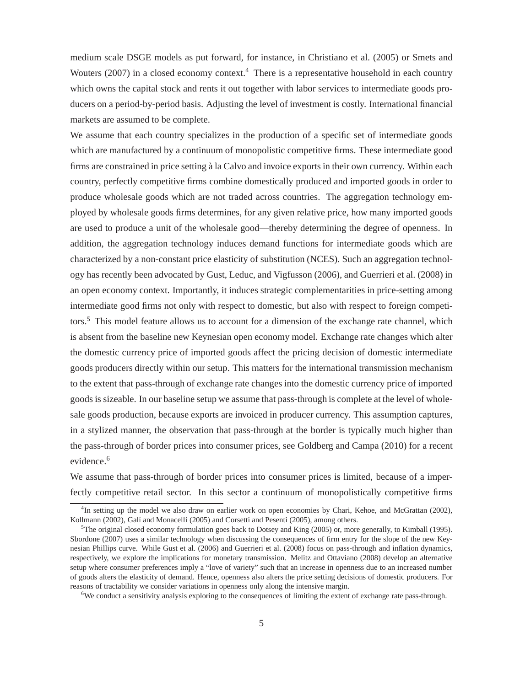medium scale DSGE models as put forward, for instance, in Christiano et al. (2005) or Smets and Wouters (2007) in a closed economy context.<sup>4</sup> There is a representative household in each country which owns the capital stock and rents it out together with labor services to intermediate goods producers on a period-by-period basis. Adjusting the level of investment is costly. International financial markets are assumed to be complete.

We assume that each country specializes in the production of a specific set of intermediate goods which are manufactured by a continuum of monopolistic competitive firms. These intermediate good firms are constrained in price setting à la Calvo and invoice exports in their own currency. Within each country, perfectly competitive firms combine domestically produced and imported goods in order to produce wholesale goods which are not traded across countries. The aggregation technology employed by wholesale goods firms determines, for any given relative price, how many imported goods are used to produce a unit of the wholesale good—thereby determining the degree of openness. In addition, the aggregation technology induces demand functions for intermediate goods which are characterized by a non-constant price elasticity of substitution (NCES). Such an aggregation technology has recently been advocated by Gust, Leduc, and Vigfusson (2006), and Guerrieri et al. (2008) in an open economy context. Importantly, it induces strategic complementarities in price-setting among intermediate good firms not only with respect to domestic, but also with respect to foreign competitors.<sup>5</sup> This model feature allows us to account for a dimension of the exchange rate channel, which is absent from the baseline new Keynesian open economy model. Exchange rate changes which alter the domestic currency price of imported goods affect the pricing decision of domestic intermediate goods producers directly within our setup. This matters for the international transmission mechanism to the extent that pass-through of exchange rate changes into the domestic currency price of imported goods is sizeable. In our baseline setup we assume that pass-through is complete at the level of wholesale goods production, because exports are invoiced in producer currency. This assumption captures, in a stylized manner, the observation that pass-through at the border is typically much higher than the pass-through of border prices into consumer prices, see Goldberg and Campa (2010) for a recent evidence.<sup>6</sup>

We assume that pass-through of border prices into consumer prices is limited, because of a imperfectly competitive retail sector. In this sector a continuum of monopolistically competitive firms

<sup>&</sup>lt;sup>4</sup>In setting up the model we also draw on earlier work on open economies by Chari, Kehoe, and McGrattan (2002), Kollmann (2002), Galí and Monacelli (2005) and Corsetti and Pesenti (2005), among others.

 $5$ The original closed economy formulation goes back to Dotsey and King (2005) or, more generally, to Kimball (1995). Sbordone (2007) uses a similar technology when discussing the consequences of firm entry for the slope of the new Keynesian Phillips curve. While Gust et al. (2006) and Guerrieri et al. (2008) focus on pass-through and inflation dynamics, respectively, we explore the implications for monetary transmission. Melitz and Ottaviano (2008) develop an alternative setup where consumer preferences imply a "love of variety" such that an increase in openness due to an increased number of goods alters the elasticity of demand. Hence, openness also alters the price setting decisions of domestic producers. For reasons of tractability we consider variations in openness only along the intensive margin.

 $6\%$  We conduct a sensitivity analysis exploring to the consequences of limiting the extent of exchange rate pass-through.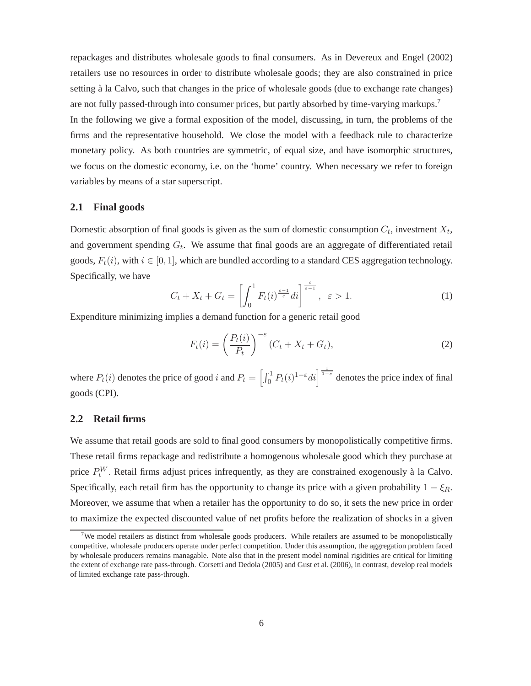repackages and distributes wholesale goods to final consumers. As in Devereux and Engel (2002) retailers use no resources in order to distribute wholesale goods; they are also constrained in price setting à la Calvo, such that changes in the price of wholesale goods (due to exchange rate changes) are not fully passed-through into consumer prices, but partly absorbed by time-varying markups.<sup>7</sup> In the following we give a formal exposition of the model, discussing, in turn, the problems of the firms and the representative household. We close the model with a feedback rule to characterize monetary policy. As both countries are symmetric, of equal size, and have isomorphic structures, we focus on the domestic economy, i.e. on the 'home' country. When necessary we refer to foreign variables by means of a star superscript.

#### **2.1 Final goods**

Domestic absorption of final goods is given as the sum of domestic consumption  $C_t$ , investment  $X_t$ , and government spending  $G_t$ . We assume that final goods are an aggregate of differentiated retail goods,  $F_t(i)$ , with  $i \in [0, 1]$ , which are bundled according to a standard CES aggregation technology. Specifically, we have

$$
C_t + X_t + G_t = \left[ \int_0^1 F_t(i)^{\frac{\varepsilon - 1}{\varepsilon}} di \right]^{\frac{\varepsilon}{\varepsilon - 1}}, \ \varepsilon > 1. \tag{1}
$$

Expenditure minimizing implies a demand function for a generic retail good

$$
F_t(i) = \left(\frac{P_t(i)}{P_t}\right)^{-\varepsilon} (C_t + X_t + G_t),\tag{2}
$$

where  $P_t(i)$  denotes the price of good i and  $P_t = \left[\int_0^1 P_t(i)^{1-\epsilon} di \right]_0^{\frac{1}{1-\epsilon}}$  denotes the price index of final goods (CPI).

#### **2.2 Retail firms**

We assume that retail goods are sold to final good consumers by monopolistically competitive firms. These retail firms repackage and redistribute a homogenous wholesale good which they purchase at price  $P_t^W$ . Retail firms adjust prices infrequently, as they are constrained exogenously à la Calvo. Specifically, each retail firm has the opportunity to change its price with a given probability  $1 - \xi_R$ . Moreover, we assume that when a retailer has the opportunity to do so, it sets the new price in order to maximize the expected discounted value of net profits before the realization of shocks in a given

<sup>&</sup>lt;sup>7</sup>We model retailers as distinct from wholesale goods producers. While retailers are assumed to be monopolistically competitive, wholesale producers operate under perfect competition. Under this assumption, the aggregation problem faced by wholesale producers remains managable. Note also that in the present model nominal rigidities are critical for limiting the extent of exchange rate pass-through. Corsetti and Dedola (2005) and Gust et al. (2006), in contrast, develop real models of limited exchange rate pass-through.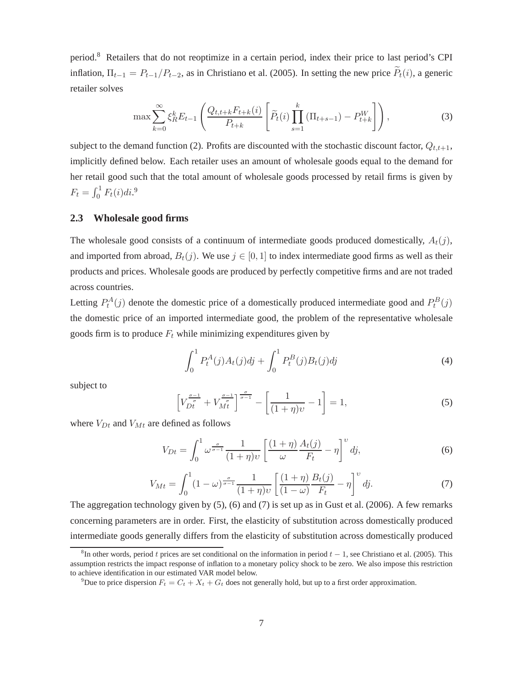period.<sup>8</sup> Retailers that do not reoptimize in a certain period, index their price to last period's CPI inflation,  $\Pi_{t-1} = P_{t-1}/P_{t-2}$ , as in Christiano et al. (2005). In setting the new price  $\tilde{P}_t(i)$ , a generic retailer solves

$$
\max \sum_{k=0}^{\infty} \xi_R^k E_{t-1} \left( \frac{Q_{t,t+k} F_{t+k}(i)}{P_{t+k}} \left[ \widetilde{P}_t(i) \prod_{s=1}^k (\Pi_{t+s-1}) - P_{t+k}^W \right] \right), \tag{3}
$$

subject to the demand function (2). Profits are discounted with the stochastic discount factor,  $Q_{t,t+1}$ , implicitly defined below. Each retailer uses an amount of wholesale goods equal to the demand for her retail good such that the total amount of wholesale goods processed by retail firms is given by  $F_t = \int_0^1 F_t(i)di$ .<sup>9</sup>

#### **2.3 Wholesale good firms**

The wholesale good consists of a continuum of intermediate goods produced domestically,  $A_t(j)$ , and imported from abroad,  $B_t(j)$ . We use  $j \in [0, 1]$  to index intermediate good firms as well as their products and prices. Wholesale goods are produced by perfectly competitive firms and are not traded across countries.

Letting  $P_t^A(j)$  denote the domestic price of a domestically produced intermediate good and  $P_t^B(j)$ the domestic price of an imported intermediate good, the problem of the representative wholesale goods firm is to produce  $F_t$  while minimizing expenditures given by

$$
\int_0^1 P_t^A(j)A_t(j)dj + \int_0^1 P_t^B(j)B_t(j)dj \tag{4}
$$

subject to

$$
\left[V_{Dt}^{\frac{\sigma-1}{\sigma}} + V_{Mt}^{\frac{\sigma-1}{\sigma}}\right]^{\frac{\sigma}{\sigma-1}} - \left[\frac{1}{(1+\eta)v} - 1\right] = 1,\tag{5}
$$

where  $V_{Dt}$  and  $V_{Mt}$  are defined as follows

$$
V_{Dt} = \int_0^1 \omega^{\frac{\sigma}{\sigma - 1}} \frac{1}{(1 + \eta)v} \left[ \frac{(1 + \eta)}{\omega} \frac{A_t(j)}{F_t} - \eta \right]^v dj,
$$
(6)

$$
V_{Mt} = \int_0^1 (1 - \omega)^{\frac{\sigma}{\sigma - 1}} \frac{1}{(1 + \eta)v} \left[ \frac{(1 + \eta)}{(1 - \omega)} \frac{B_t(j)}{F_t} - \eta \right]^v dj. \tag{7}
$$

The aggregation technology given by (5), (6) and (7) is set up as in Gust et al. (2006). A few remarks concerning parameters are in order. First, the elasticity of substitution across domestically produced intermediate goods generally differs from the elasticity of substitution across domestically produced

<sup>&</sup>lt;sup>8</sup>In other words, period t prices are set conditional on the information in period  $t - 1$ , see Christiano et al. (2005). This assumption restricts the impact response of inflation to a monetary policy shock to be zero. We also impose this restriction to achieve identification in our estimated VAR model below.

<sup>&</sup>lt;sup>9</sup>Due to price dispersion  $F_t = C_t + X_t + G_t$  does not generally hold, but up to a first order approximation.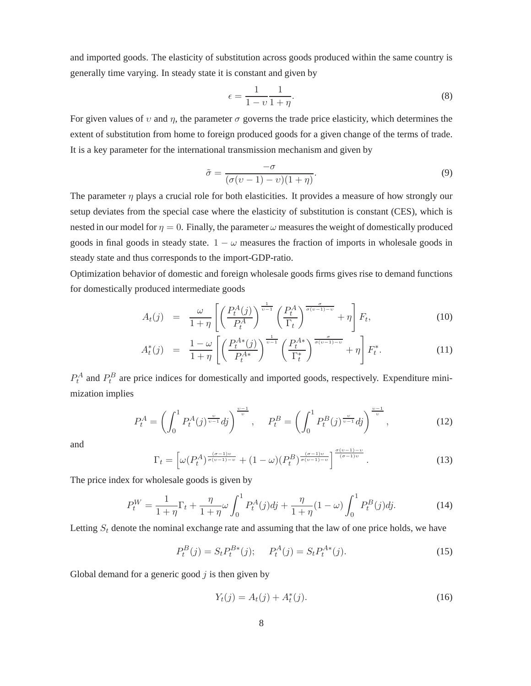and imported goods. The elasticity of substitution across goods produced within the same country is generally time varying. In steady state it is constant and given by

$$
\epsilon = \frac{1}{1 - \upsilon} \frac{1}{1 + \eta}.\tag{8}
$$

For given values of  $v$  and  $\eta$ , the parameter  $\sigma$  governs the trade price elasticity, which determines the extent of substitution from home to foreign produced goods for a given change of the terms of trade. It is a key parameter for the international transmission mechanism and given by

$$
\tilde{\sigma} = \frac{-\sigma}{(\sigma(v-1) - v)(1+\eta)}.
$$
\n(9)

The parameter  $\eta$  plays a crucial role for both elasticities. It provides a measure of how strongly our setup deviates from the special case where the elasticity of substitution is constant (CES), which is nested in our model for  $\eta = 0$ . Finally, the parameter  $\omega$  measures the weight of domestically produced goods in final goods in steady state.  $1 - \omega$  measures the fraction of imports in wholesale goods in steady state and thus corresponds to the import-GDP-ratio.

Optimization behavior of domestic and foreign wholesale goods firms gives rise to demand functions for domestically produced intermediate goods

$$
A_t(j) = \frac{\omega}{1+\eta} \left[ \left( \frac{P_t^A(j)}{P_t^A} \right)^{\frac{1}{\upsilon-1}} \left( \frac{P_t^A}{\Gamma_t} \right)^{\frac{\sigma}{\sigma(\upsilon-1)-\upsilon}} + \eta \right] F_t, \tag{10}
$$

$$
A_t^*(j) = \frac{1-\omega}{1+\eta} \left[ \left( \frac{P_t^{A*}(j)}{P_t^{A*}} \right)^{\frac{1}{\nu-1}} \left( \frac{P_t^{A*}}{\Gamma_t^*} \right)^{\frac{\sigma}{\sigma(\nu-1)-\nu}} + \eta \right] F_t^*.
$$
 (11)

 $P_t^A$  and  $P_t^B$  are price indices for domestically and imported goods, respectively. Expenditure minimization implies

$$
P_t^A = \left(\int_0^1 P_t^A(j)^{\frac{\upsilon}{\upsilon - 1}}dj\right)^{\frac{\upsilon - 1}{\upsilon}}, \quad P_t^B = \left(\int_0^1 P_t^B(j)^{\frac{\upsilon}{\upsilon - 1}}dj\right)^{\frac{\upsilon - 1}{\upsilon}},\tag{12}
$$

and

$$
\Gamma_t = \left[ \omega(P_t^A)^{\frac{(\sigma - 1)v}{\sigma(v - 1) - v}} + (1 - \omega)(P_t^B)^{\frac{(\sigma - 1)v}{\sigma(v - 1) - v}} \right]^{\frac{\sigma(v - 1) - v}{(\sigma - 1)v}}.
$$
\n(13)

The price index for wholesale goods is given by

$$
P_t^W = \frac{1}{1+\eta} \Gamma_t + \frac{\eta}{1+\eta} \omega \int_0^1 P_t^A(j)dj + \frac{\eta}{1+\eta} (1-\omega) \int_0^1 P_t^B(j)dj. \tag{14}
$$

Letting  $S_t$  denote the nominal exchange rate and assuming that the law of one price holds, we have

$$
P_t^B(j) = S_t P_t^{B*}(j); \quad P_t^A(j) = S_t P_t^{A*}(j).
$$
\n(15)

Global demand for a generic good  $j$  is then given by

$$
Y_t(j) = A_t(j) + A_t^*(j).
$$
 (16)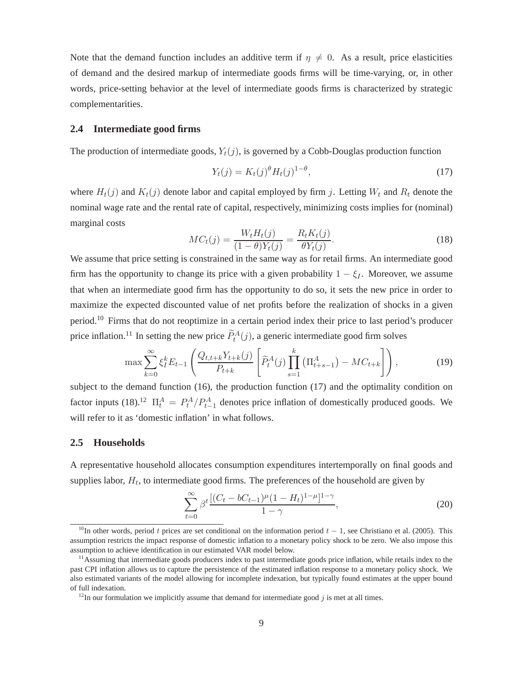Note that the demand function includes an additive term if  $\eta \neq 0$ . As a result, price elasticities of demand and the desired markup of intermediate goods firms will be time-varying, or, in other words, price-setting behavior at the level of intermediate goods firms is characterized by strategic complementarities.

## **2.4 Intermediate good firms**

The production of intermediate goods,  $Y_t(j)$ , is governed by a Cobb-Douglas production function

$$
Y_t(j) = K_t(j)^{\theta} H_t(j)^{1-\theta},
$$
\n(17)

where  $H_t(j)$  and  $K_t(j)$  denote labor and capital employed by firm j. Letting  $W_t$  and  $R_t$  denote the nominal wage rate and the rental rate of capital, respectively, minimizing costs implies for (nominal) marginal costs

$$
MC_t(j) = \frac{W_t H_t(j)}{(1 - \theta)Y_t(j)} = \frac{R_t K_t(j)}{\theta Y_t(j)}.
$$
\n(18)

We assume that price setting is constrained in the same way as for retail firms. An intermediate good firm has the opportunity to change its price with a given probability  $1 - \xi_I$ . Moreover, we assume that when an intermediate good firm has the opportunity to do so, it sets the new price in order to maximize the expected discounted value of net profits before the realization of shocks in a given period.<sup>10</sup> Firms that do not reoptimize in a certain period index their price to last period's producer price inflation.<sup>11</sup> In setting the new price  $\tilde{P}_t^A(j)$ , a generic intermediate good firm solves

$$
\max \sum_{k=0}^{\infty} \xi_I^k E_{t-1} \left( \frac{Q_{t,t+k} Y_{t+k}(j)}{P_{t+k}} \left[ \tilde{P}_t^A(j) \prod_{s=1}^k \left( \Pi_{t+s-1}^A \right) - MC_{t+k} \right] \right), \tag{19}
$$

subject to the demand function (16), the production function (17) and the optimality condition on factor inputs (18).<sup>12</sup>  $\Pi_t^A = P_t^A / P_{t-1}^A$  denotes price inflation of domestically produced goods. We will refer to it as 'domestic inflation' in what follows.

#### **2.5 Households**

A representative household allocates consumption expenditures intertemporally on final goods and supplies labor,  $H_t$ , to intermediate good firms. The preferences of the household are given by

$$
\sum_{t=0}^{\infty} \beta^t \frac{[(C_t - bC_{t-1})^{\mu} (1 - H_t)^{1-\mu}]^{1-\gamma}}{1-\gamma},
$$
\n(20)

<sup>&</sup>lt;sup>10</sup>In other words, period t prices are set conditional on the information period  $t - 1$ , see Christiano et al. (2005). This assumption restricts the impact response of domestic inflation to a monetary policy shock to be zero. We also impose this assumption to achieve identification in our estimated VAR model below.

<sup>&</sup>lt;sup>11</sup>Assuming that intermediate goods producers index to past intermediate goods price inflation, while retails index to the past CPI inflation allows us to capture the persistence of the estimated inflation response to a monetary policy shock. We also estimated variants of the model allowing for incomplete indexation, but typically found estimates at the upper bound of full indexation.

<sup>&</sup>lt;sup>12</sup>In our formulation we implicitly assume that demand for intermediate good  $\dot{\gamma}$  is met at all times.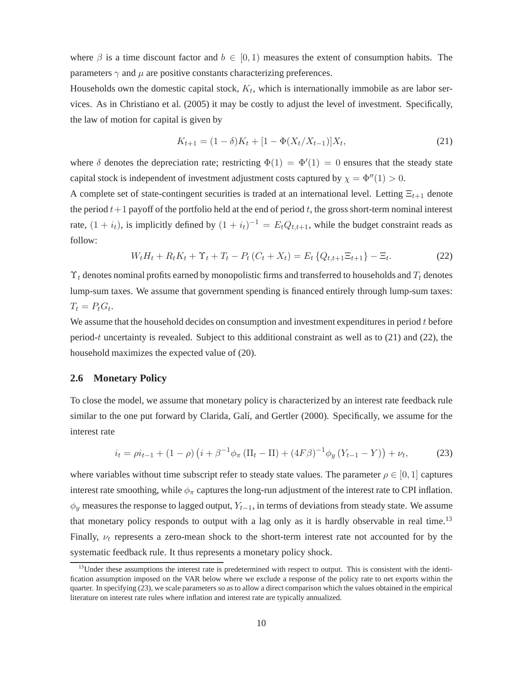where  $\beta$  is a time discount factor and  $b \in [0, 1)$  measures the extent of consumption habits. The parameters  $\gamma$  and  $\mu$  are positive constants characterizing preferences.

Households own the domestic capital stock,  $K_t$ , which is internationally immobile as are labor services. As in Christiano et al. (2005) it may be costly to adjust the level of investment. Specifically, the law of motion for capital is given by

$$
K_{t+1} = (1 - \delta)K_t + [1 - \Phi(X_t/X_{t-1})]X_t,
$$
\n(21)

where  $\delta$  denotes the depreciation rate; restricting  $\Phi(1) = \Phi'(1) = 0$  ensures that the steady state capital stock is independent of investment adjustment costs captured by  $\chi = \Phi''(1) > 0$ .

A complete set of state-contingent securities is traded at an international level. Letting  $\Xi_{t+1}$  denote the period  $t+1$  payoff of the portfolio held at the end of period  $t$ , the gross short-term nominal interest rate,  $(1 + i_t)$ , is implicitly defined by  $(1 + i_t)^{-1} = E_t Q_{t,t+1}$ , while the budget constraint reads as follow:

$$
W_t H_t + R_t K_t + \Upsilon_t + T_t - P_t (C_t + X_t) = E_t \{Q_{t,t+1} \Xi_{t+1}\} - \Xi_t.
$$
 (22)

 $\Upsilon_t$  denotes nominal profits earned by monopolistic firms and transferred to households and  $T_t$  denotes lump-sum taxes. We assume that government spending is financed entirely through lump-sum taxes:  $T_t = P_t G_t.$ 

We assume that the household decides on consumption and investment expenditures in period  $t$  before period-t uncertainty is revealed. Subject to this additional constraint as well as to  $(21)$  and  $(22)$ , the household maximizes the expected value of (20).

#### **2.6 Monetary Policy**

To close the model, we assume that monetary policy is characterized by an interest rate feedback rule similar to the one put forward by Clarida, Galí, and Gertler (2000). Specifically, we assume for the interest rate

$$
i_t = \rho i_{t-1} + (1 - \rho) \left( i + \beta^{-1} \phi_\pi \left( \Pi_t - \Pi \right) + (4F\beta)^{-1} \phi_y \left( Y_{t-1} - Y \right) \right) + \nu_t, \tag{23}
$$

where variables without time subscript refer to steady state values. The parameter  $\rho \in [0,1]$  captures interest rate smoothing, while  $\phi_{\pi}$  captures the long-run adjustment of the interest rate to CPI inflation.  $\phi_y$  measures the response to lagged output,  $Y_{t-1}$ , in terms of deviations from steady state. We assume that monetary policy responds to output with a lag only as it is hardly observable in real time.<sup>13</sup> Finally,  $\nu_t$  represents a zero-mean shock to the short-term interest rate not accounted for by the systematic feedback rule. It thus represents a monetary policy shock.

 $13$ Under these assumptions the interest rate is predetermined with respect to output. This is consistent with the identification assumption imposed on the VAR below where we exclude a response of the policy rate to net exports within the quarter. In specifying (23), we scale parameters so as to allow a direct comparison which the values obtained in the empirical literature on interest rate rules where inflation and interest rate are typically annualized.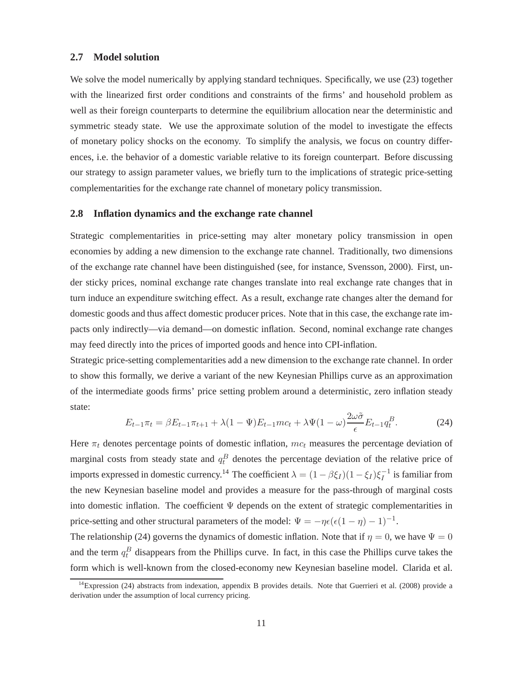#### **2.7 Model solution**

We solve the model numerically by applying standard techniques. Specifically, we use  $(23)$  together with the linearized first order conditions and constraints of the firms' and household problem as well as their foreign counterparts to determine the equilibrium allocation near the deterministic and symmetric steady state. We use the approximate solution of the model to investigate the effects of monetary policy shocks on the economy. To simplify the analysis, we focus on country differences, i.e. the behavior of a domestic variable relative to its foreign counterpart. Before discussing our strategy to assign parameter values, we briefly turn to the implications of strategic price-setting complementarities for the exchange rate channel of monetary policy transmission.

#### **2.8 Inflation dynamics and the exchange rate channel**

Strategic complementarities in price-setting may alter monetary policy transmission in open economies by adding a new dimension to the exchange rate channel. Traditionally, two dimensions of the exchange rate channel have been distinguished (see, for instance, Svensson, 2000). First, under sticky prices, nominal exchange rate changes translate into real exchange rate changes that in turn induce an expenditure switching effect. As a result, exchange rate changes alter the demand for domestic goods and thus affect domestic producer prices. Note that in this case, the exchange rate impacts only indirectly—via demand—on domestic inflation. Second, nominal exchange rate changes may feed directly into the prices of imported goods and hence into CPI-inflation.

Strategic price-setting complementarities add a new dimension to the exchange rate channel. In order to show this formally, we derive a variant of the new Keynesian Phillips curve as an approximation of the intermediate goods firms' price setting problem around a deterministic, zero inflation steady state:

$$
E_{t-1}\pi_t = \beta E_{t-1}\pi_{t+1} + \lambda(1-\Psi)E_{t-1}mc_t + \lambda\Psi(1-\omega)\frac{2\omega\tilde{\sigma}}{\epsilon}E_{t-1}q_t^B.
$$
 (24)

Here  $\pi_t$  denotes percentage points of domestic inflation,  $mc_t$  measures the percentage deviation of marginal costs from steady state and  $q_t^B$  denotes the percentage deviation of the relative price of imports expressed in domestic currency.<sup>14</sup> The coefficient  $\lambda = (1 - \beta \xi_I)(1 - \xi_I)\xi_I^{-1}$  is familiar from the new Keynesian baseline model and provides a measure for the pass-through of marginal costs into domestic inflation. The coefficient  $\Psi$  depends on the extent of strategic complementarities in price-setting and other structural parameters of the model:  $\Psi = -\eta \epsilon (\epsilon (1 - \eta) - 1)^{-1}$ .

The relationship (24) governs the dynamics of domestic inflation. Note that if  $\eta = 0$ , we have  $\Psi = 0$ and the term  $q_t^B$  disappears from the Phillips curve. In fact, in this case the Phillips curve takes the form which is well-known from the closed-economy new Keynesian baseline model. Clarida et al.

 $14$ Expression (24) abstracts from indexation, appendix B provides details. Note that Guerrieri et al. (2008) provide a derivation under the assumption of local currency pricing.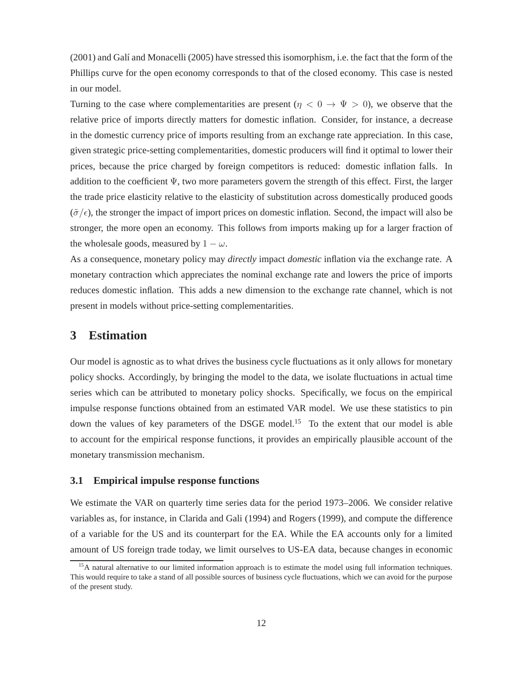(2001) and Galí and Monacelli (2005) have stressed this isomorphism, i.e. the fact that the form of the Phillips curve for the open economy corresponds to that of the closed economy. This case is nested in our model.

Turning to the case where complementarities are present ( $\eta < 0 \rightarrow \Psi > 0$ ), we observe that the relative price of imports directly matters for domestic inflation. Consider, for instance, a decrease in the domestic currency price of imports resulting from an exchange rate appreciation. In this case, given strategic price-setting complementarities, domestic producers will find it optimal to lower their prices, because the price charged by foreign competitors is reduced: domestic inflation falls. In addition to the coefficient  $\Psi$ , two more parameters govern the strength of this effect. First, the larger the trade price elasticity relative to the elasticity of substitution across domestically produced goods  $(\tilde{\sigma}/\epsilon)$ , the stronger the impact of import prices on domestic inflation. Second, the impact will also be stronger, the more open an economy. This follows from imports making up for a larger fraction of the wholesale goods, measured by  $1 - \omega$ .

As a consequence, monetary policy may *directly* impact *domestic* inflation via the exchange rate. A monetary contraction which appreciates the nominal exchange rate and lowers the price of imports reduces domestic inflation. This adds a new dimension to the exchange rate channel, which is not present in models without price-setting complementarities.

# **3 Estimation**

Our model is agnostic as to what drives the business cycle fluctuations as it only allows for monetary policy shocks. Accordingly, by bringing the model to the data, we isolate fluctuations in actual time series which can be attributed to monetary policy shocks. Specifically, we focus on the empirical impulse response functions obtained from an estimated VAR model. We use these statistics to pin down the values of key parameters of the DSGE model.<sup>15</sup> To the extent that our model is able to account for the empirical response functions, it provides an empirically plausible account of the monetary transmission mechanism.

## **3.1 Empirical impulse response functions**

We estimate the VAR on quarterly time series data for the period 1973–2006. We consider relative variables as, for instance, in Clarida and Gali (1994) and Rogers (1999), and compute the difference of a variable for the US and its counterpart for the EA. While the EA accounts only for a limited amount of US foreign trade today, we limit ourselves to US-EA data, because changes in economic

<sup>&</sup>lt;sup>15</sup>A natural alternative to our limited information approach is to estimate the model using full information techniques. This would require to take a stand of all possible sources of business cycle fluctuations, which we can avoid for the purpose of the present study.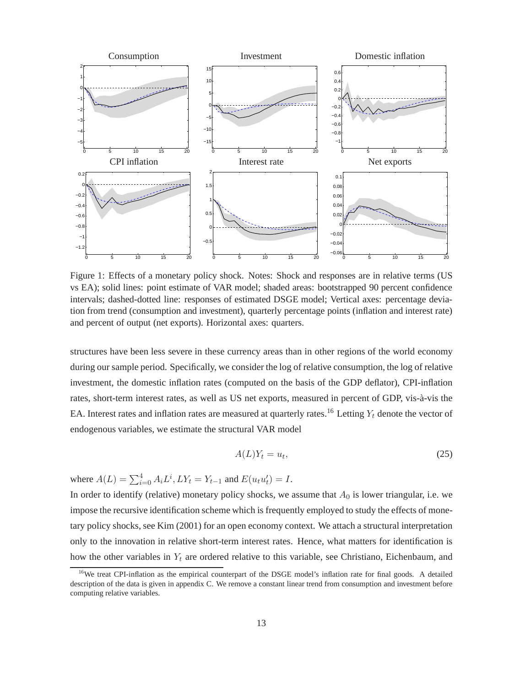

Figure 1: Effects of a monetary policy shock. Notes: Shock and responses are in relative terms (US vs EA); solid lines: point estimate of VAR model; shaded areas: bootstrapped 90 percent confidence intervals; dashed-dotted line: responses of estimated DSGE model; Vertical axes: percentage deviation from trend (consumption and investment), quarterly percentage points (inflation and interest rate) and percent of output (net exports). Horizontal axes: quarters.

structures have been less severe in these currency areas than in other regions of the world economy during our sample period. Specifically, we consider the log of relative consumption, the log of relative investment, the domestic inflation rates (computed on the basis of the GDP deflator), CPI-inflation rates, short-term interest rates, as well as US net exports, measured in percent of GDP, vis-à-vis the EA. Interest rates and inflation rates are measured at quarterly rates.<sup>16</sup> Letting  $Y_t$  denote the vector of endogenous variables, we estimate the structural VAR model

$$
A(L)Y_t = u_t,\t\t(25)
$$

where  $A(L) = \sum_{i=0}^{4} A_i L^i$ ,  $LY_t = Y_{t-1}$  and  $E(u_t u_t)$  $t'_t) = I.$ 

In order to identify (relative) monetary policy shocks, we assume that  $A_0$  is lower triangular, i.e. we impose the recursive identification scheme which is frequently employed to study the effects of monetary policy shocks, see Kim (2001) for an open economy context. We attach a structural interpretation only to the innovation in relative short-term interest rates. Hence, what matters for identification is how the other variables in  $Y_t$  are ordered relative to this variable, see Christiano, Eichenbaum, and

<sup>&</sup>lt;sup>16</sup>We treat CPI-inflation as the empirical counterpart of the DSGE model's inflation rate for final goods. A detailed description of the data is given in appendix C. We remove a constant linear trend from consumption and investment before computing relative variables.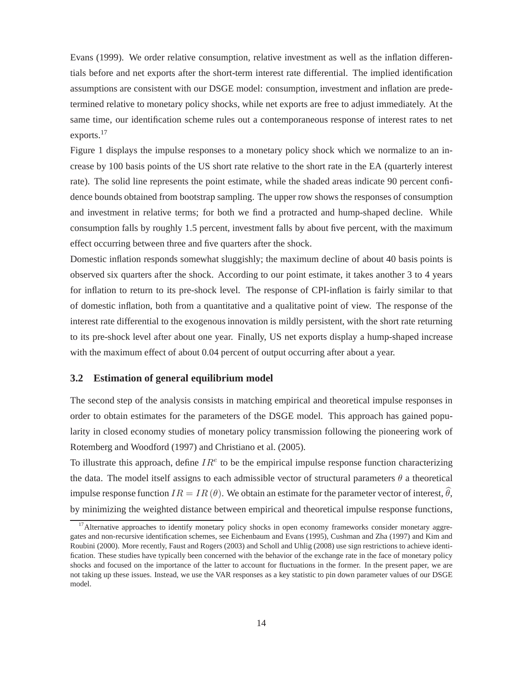Evans (1999). We order relative consumption, relative investment as well as the inflation differentials before and net exports after the short-term interest rate differential. The implied identification assumptions are consistent with our DSGE model: consumption, investment and inflation are predetermined relative to monetary policy shocks, while net exports are free to adjust immediately. At the same time, our identification scheme rules out a contemporaneous response of interest rates to net exports.<sup>17</sup>

Figure 1 displays the impulse responses to a monetary policy shock which we normalize to an increase by 100 basis points of the US short rate relative to the short rate in the EA (quarterly interest rate). The solid line represents the point estimate, while the shaded areas indicate 90 percent confidence bounds obtained from bootstrap sampling. The upper row shows the responses of consumption and investment in relative terms; for both we find a protracted and hump-shaped decline. While consumption falls by roughly 1.5 percent, investment falls by about five percent, with the maximum effect occurring between three and five quarters after the shock.

Domestic inflation responds somewhat sluggishly; the maximum decline of about 40 basis points is observed six quarters after the shock. According to our point estimate, it takes another 3 to 4 years for inflation to return to its pre-shock level. The response of CPI-inflation is fairly similar to that of domestic inflation, both from a quantitative and a qualitative point of view. The response of the interest rate differential to the exogenous innovation is mildly persistent, with the short rate returning to its pre-shock level after about one year. Finally, US net exports display a hump-shaped increase with the maximum effect of about 0.04 percent of output occurring after about a year.

## **3.2 Estimation of general equilibrium model**

The second step of the analysis consists in matching empirical and theoretical impulse responses in order to obtain estimates for the parameters of the DSGE model. This approach has gained popularity in closed economy studies of monetary policy transmission following the pioneering work of Rotemberg and Woodford (1997) and Christiano et al. (2005).

To illustrate this approach, define  $IR^e$  to be the empirical impulse response function characterizing the data. The model itself assigns to each admissible vector of structural parameters  $\theta$  a theoretical impulse response function  $IR = IR(\theta)$ . We obtain an estimate for the parameter vector of interest,  $\theta$ , by minimizing the weighted distance between empirical and theoretical impulse response functions,

<sup>&</sup>lt;sup>17</sup>Alternative approaches to identify monetary policy shocks in open economy frameworks consider monetary aggregates and non-recursive identification schemes, see Eichenbaum and Evans (1995), Cushman and Zha (1997) and Kim and Roubini (2000). More recently, Faust and Rogers (2003) and Scholl and Uhlig (2008) use sign restrictions to achieve identification. These studies have typically been concerned with the behavior of the exchange rate in the face of monetary policy shocks and focused on the importance of the latter to account for fluctuations in the former. In the present paper, we are not taking up these issues. Instead, we use the VAR responses as a key statistic to pin down parameter values of our DSGE model.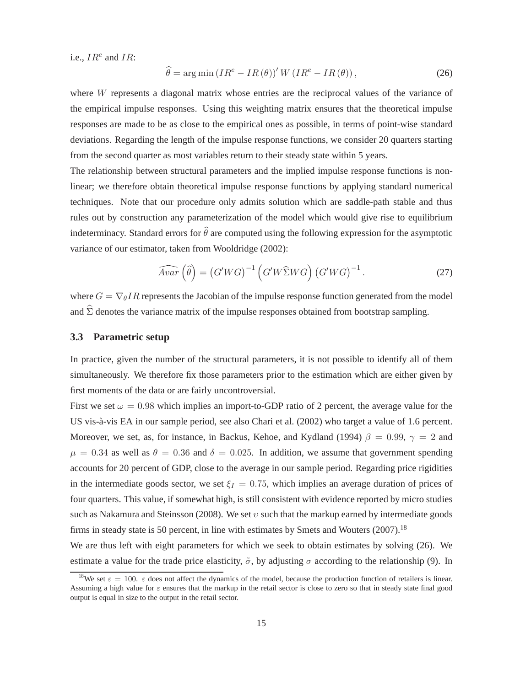i.e.,  $IR^e$  and  $IR$ :

$$
\widehat{\theta} = \arg\min\left(IR^{e} - IR\left(\theta\right)\right)^{\prime}W\left(IR^{e} - IR\left(\theta\right)\right),\tag{26}
$$

where W represents a diagonal matrix whose entries are the reciprocal values of the variance of the empirical impulse responses. Using this weighting matrix ensures that the theoretical impulse responses are made to be as close to the empirical ones as possible, in terms of point-wise standard deviations. Regarding the length of the impulse response functions, we consider 20 quarters starting from the second quarter as most variables return to their steady state within 5 years.

The relationship between structural parameters and the implied impulse response functions is nonlinear; we therefore obtain theoretical impulse response functions by applying standard numerical techniques. Note that our procedure only admits solution which are saddle-path stable and thus rules out by construction any parameterization of the model which would give rise to equilibrium indeterminacy. Standard errors for  $\hat{\theta}$  are computed using the following expression for the asymptotic variance of our estimator, taken from Wooldridge (2002):

$$
\widehat{Avar}\left(\widehat{\theta}\right) = \left(G'WG\right)^{-1}\left(G'W\widehat{\Sigma}WG\right)\left(G'WG\right)^{-1}.\tag{27}
$$

where  $G = \nabla_{\theta} I R$  represents the Jacobian of the impulse response function generated from the model and  $\hat{\Sigma}$  denotes the variance matrix of the impulse responses obtained from bootstrap sampling.

#### **3.3 Parametric setup**

In practice, given the number of the structural parameters, it is not possible to identify all of them simultaneously. We therefore fix those parameters prior to the estimation which are either given by first moments of the data or are fairly uncontroversial.

First we set  $\omega = 0.98$  which implies an import-to-GDP ratio of 2 percent, the average value for the US vis-à-vis EA in our sample period, see also Chari et al. (2002) who target a value of 1.6 percent. Moreover, we set, as, for instance, in Backus, Kehoe, and Kydland (1994)  $\beta = 0.99$ ,  $\gamma = 2$  and  $\mu = 0.34$  as well as  $\theta = 0.36$  and  $\delta = 0.025$ . In addition, we assume that government spending accounts for 20 percent of GDP, close to the average in our sample period. Regarding price rigidities in the intermediate goods sector, we set  $\xi_I = 0.75$ , which implies an average duration of prices of four quarters. This value, if somewhat high, is still consistent with evidence reported by micro studies such as Nakamura and Steinsson (2008). We set  $v$  such that the markup earned by intermediate goods firms in steady state is 50 percent, in line with estimates by Smets and Wouters (2007).<sup>18</sup>

We are thus left with eight parameters for which we seek to obtain estimates by solving (26). We estimate a value for the trade price elasticity,  $\tilde{\sigma}$ , by adjusting  $\sigma$  according to the relationship (9). In

<sup>&</sup>lt;sup>18</sup>We set  $\varepsilon = 100$ .  $\varepsilon$  does not affect the dynamics of the model, because the production function of retailers is linear. Assuming a high value for  $\varepsilon$  ensures that the markup in the retail sector is close to zero so that in steady state final good output is equal in size to the output in the retail sector.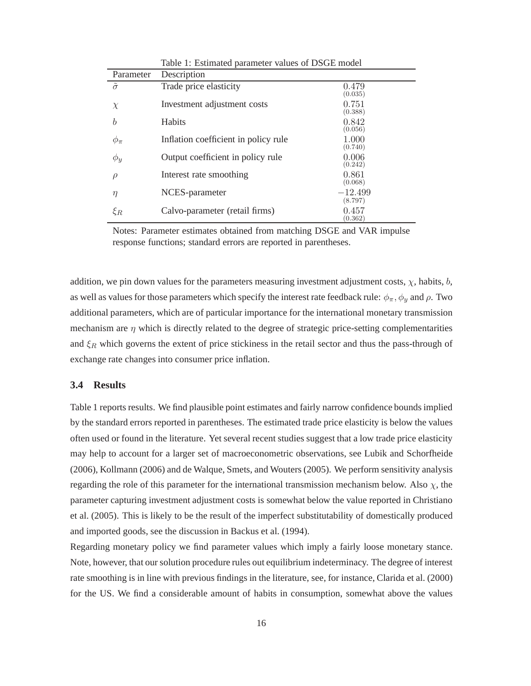| Parameter        | Description                          |                      |
|------------------|--------------------------------------|----------------------|
| $\tilde{\sigma}$ | Trade price elasticity               | 0.479<br>(0.035)     |
| $\chi$           | Investment adjustment costs          | 0.751<br>(0.388)     |
| $\boldsymbol{b}$ | Habits                               | 0.842<br>(0.056)     |
| $\varphi_{\pi}$  | Inflation coefficient in policy rule | 1.000<br>(0.740)     |
| $\varphi_y$      | Output coefficient in policy rule    | 0.006<br>(0.242)     |
| ρ                | Interest rate smoothing              | 0.861<br>(0.068)     |
| $\eta$           | NCES-parameter                       | $-12.499$<br>(8.797) |
| $\xi_R$          | Calvo-parameter (retail firms)       | 0.457<br>(0.362)     |

Table 1: Estimated parameter values of DSGE model

Notes: Parameter estimates obtained from matching DSGE and VAR impulse response functions; standard errors are reported in parentheses.

addition, we pin down values for the parameters measuring investment adjustment costs,  $\chi$ , habits,  $b$ , as well as values for those parameters which specify the interest rate feedback rule:  $\phi_{\pi}, \phi_{y}$  and  $\rho$ . Two additional parameters, which are of particular importance for the international monetary transmission mechanism are  $\eta$  which is directly related to the degree of strategic price-setting complementarities and  $\xi_R$  which governs the extent of price stickiness in the retail sector and thus the pass-through of exchange rate changes into consumer price inflation.

## **3.4 Results**

Table 1 reports results. We find plausible point estimates and fairly narrow confidence bounds implied by the standard errors reported in parentheses. The estimated trade price elasticity is below the values often used or found in the literature. Yet several recent studies suggest that a low trade price elasticity may help to account for a larger set of macroeconometric observations, see Lubik and Schorfheide (2006), Kollmann (2006) and de Walque, Smets, and Wouters (2005). We perform sensitivity analysis regarding the role of this parameter for the international transmission mechanism below. Also  $\chi$ , the parameter capturing investment adjustment costs is somewhat below the value reported in Christiano et al. (2005). This is likely to be the result of the imperfect substitutability of domestically produced and imported goods, see the discussion in Backus et al. (1994).

Regarding monetary policy we find parameter values which imply a fairly loose monetary stance. Note, however, that our solution procedure rules out equilibrium indeterminacy. The degree of interest rate smoothing is in line with previous findings in the literature, see, for instance, Clarida et al. (2000) for the US. We find a considerable amount of habits in consumption, somewhat above the values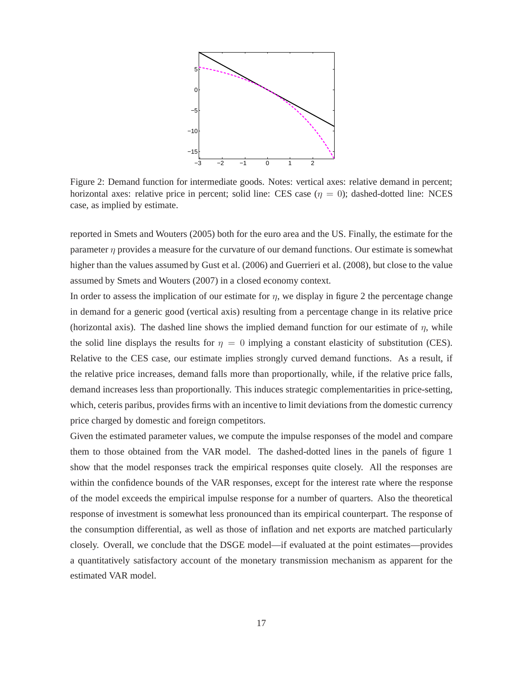

Figure 2: Demand function for intermediate goods. Notes: vertical axes: relative demand in percent; horizontal axes: relative price in percent; solid line: CES case ( $\eta = 0$ ); dashed-dotted line: NCES case, as implied by estimate.

reported in Smets and Wouters (2005) both for the euro area and the US. Finally, the estimate for the parameter  $\eta$  provides a measure for the curvature of our demand functions. Our estimate is somewhat higher than the values assumed by Gust et al. (2006) and Guerrieri et al. (2008), but close to the value assumed by Smets and Wouters (2007) in a closed economy context.

In order to assess the implication of our estimate for  $\eta$ , we display in figure 2 the percentage change in demand for a generic good (vertical axis) resulting from a percentage change in its relative price (horizontal axis). The dashed line shows the implied demand function for our estimate of  $\eta$ , while the solid line displays the results for  $\eta = 0$  implying a constant elasticity of substitution (CES). Relative to the CES case, our estimate implies strongly curved demand functions. As a result, if the relative price increases, demand falls more than proportionally, while, if the relative price falls, demand increases less than proportionally. This induces strategic complementarities in price-setting, which, ceteris paribus, provides firms with an incentive to limit deviations from the domestic currency price charged by domestic and foreign competitors.

Given the estimated parameter values, we compute the impulse responses of the model and compare them to those obtained from the VAR model. The dashed-dotted lines in the panels of figure 1 show that the model responses track the empirical responses quite closely. All the responses are within the confidence bounds of the VAR responses, except for the interest rate where the response of the model exceeds the empirical impulse response for a number of quarters. Also the theoretical response of investment is somewhat less pronounced than its empirical counterpart. The response of the consumption differential, as well as those of inflation and net exports are matched particularly closely. Overall, we conclude that the DSGE model—if evaluated at the point estimates—provides a quantitatively satisfactory account of the monetary transmission mechanism as apparent for the estimated VAR model.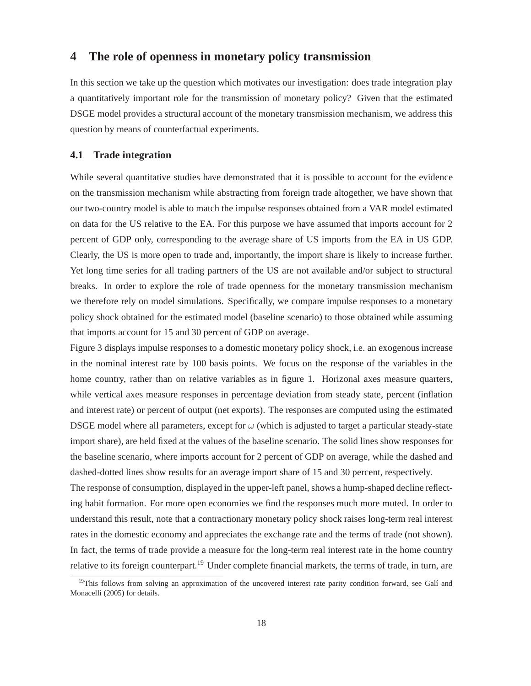# **4 The role of openness in monetary policy transmission**

In this section we take up the question which motivates our investigation: does trade integration play a quantitatively important role for the transmission of monetary policy? Given that the estimated DSGE model provides a structural account of the monetary transmission mechanism, we address this question by means of counterfactual experiments.

#### **4.1 Trade integration**

While several quantitative studies have demonstrated that it is possible to account for the evidence on the transmission mechanism while abstracting from foreign trade altogether, we have shown that our two-country model is able to match the impulse responses obtained from a VAR model estimated on data for the US relative to the EA. For this purpose we have assumed that imports account for 2 percent of GDP only, corresponding to the average share of US imports from the EA in US GDP. Clearly, the US is more open to trade and, importantly, the import share is likely to increase further. Yet long time series for all trading partners of the US are not available and/or subject to structural breaks. In order to explore the role of trade openness for the monetary transmission mechanism we therefore rely on model simulations. Specifically, we compare impulse responses to a monetary policy shock obtained for the estimated model (baseline scenario) to those obtained while assuming that imports account for 15 and 30 percent of GDP on average.

Figure 3 displays impulse responses to a domestic monetary policy shock, i.e. an exogenous increase in the nominal interest rate by 100 basis points. We focus on the response of the variables in the home country, rather than on relative variables as in figure 1. Horizonal axes measure quarters, while vertical axes measure responses in percentage deviation from steady state, percent (inflation and interest rate) or percent of output (net exports). The responses are computed using the estimated DSGE model where all parameters, except for  $\omega$  (which is adjusted to target a particular steady-state import share), are held fixed at the values of the baseline scenario. The solid lines show responses for the baseline scenario, where imports account for 2 percent of GDP on average, while the dashed and dashed-dotted lines show results for an average import share of 15 and 30 percent, respectively.

The response of consumption, displayed in the upper-left panel, shows a hump-shaped decline reflecting habit formation. For more open economies we find the responses much more muted. In order to understand this result, note that a contractionary monetary policy shock raises long-term real interest rates in the domestic economy and appreciates the exchange rate and the terms of trade (not shown). In fact, the terms of trade provide a measure for the long-term real interest rate in the home country relative to its foreign counterpart.<sup>19</sup> Under complete financial markets, the terms of trade, in turn, are

 $19$ This follows from solving an approximation of the uncovered interest rate parity condition forward, see Galí and Monacelli (2005) for details.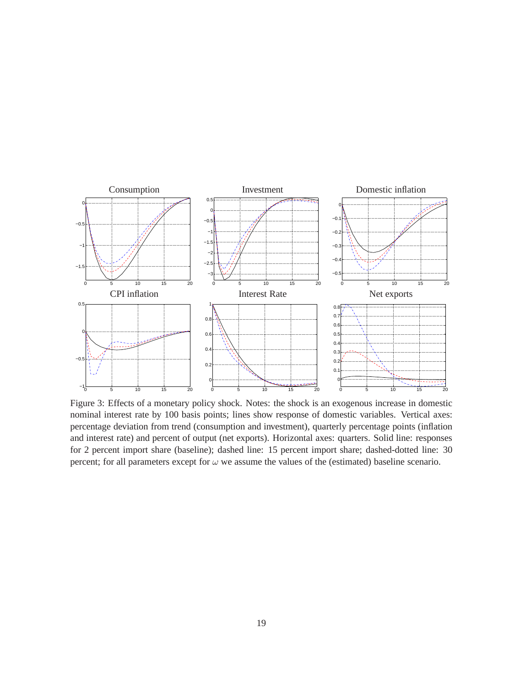

Figure 3: Effects of a monetary policy shock. Notes: the shock is an exogenous increase in domestic nominal interest rate by 100 basis points; lines show response of domestic variables. Vertical axes: percentage deviation from trend (consumption and investment), quarterly percentage points (inflation and interest rate) and percent of output (net exports). Horizontal axes: quarters. Solid line: responses for 2 percent import share (baseline); dashed line: 15 percent import share; dashed-dotted line: 30 percent; for all parameters except for  $\omega$  we assume the values of the (estimated) baseline scenario.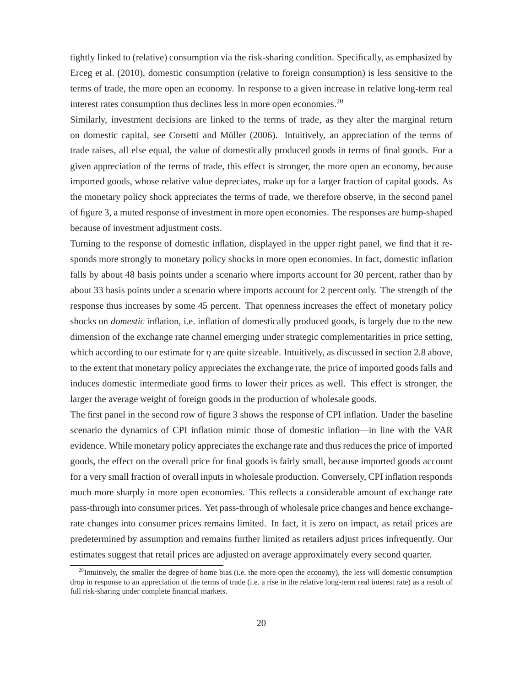tightly linked to (relative) consumption via the risk-sharing condition. Specifically, as emphasized by Erceg et al. (2010), domestic consumption (relative to foreign consumption) is less sensitive to the terms of trade, the more open an economy. In response to a given increase in relative long-term real interest rates consumption thus declines less in more open economies.<sup>20</sup>

Similarly, investment decisions are linked to the terms of trade, as they alter the marginal return on domestic capital, see Corsetti and Müller (2006). Intuitively, an appreciation of the terms of trade raises, all else equal, the value of domestically produced goods in terms of final goods. For a given appreciation of the terms of trade, this effect is stronger, the more open an economy, because imported goods, whose relative value depreciates, make up for a larger fraction of capital goods. As the monetary policy shock appreciates the terms of trade, we therefore observe, in the second panel of figure 3, a muted response of investment in more open economies. The responses are hump-shaped because of investment adjustment costs.

Turning to the response of domestic inflation, displayed in the upper right panel, we find that it responds more strongly to monetary policy shocks in more open economies. In fact, domestic inflation falls by about 48 basis points under a scenario where imports account for 30 percent, rather than by about 33 basis points under a scenario where imports account for 2 percent only. The strength of the response thus increases by some 45 percent. That openness increases the effect of monetary policy shocks on *domestic* inflation, i.e. inflation of domestically produced goods, is largely due to the new dimension of the exchange rate channel emerging under strategic complementarities in price setting, which according to our estimate for  $\eta$  are quite sizeable. Intuitively, as discussed in section 2.8 above, to the extent that monetary policy appreciates the exchange rate, the price of imported goods falls and induces domestic intermediate good firms to lower their prices as well. This effect is stronger, the larger the average weight of foreign goods in the production of wholesale goods.

The first panel in the second row of figure 3 shows the response of CPI inflation. Under the baseline scenario the dynamics of CPI inflation mimic those of domestic inflation—in line with the VAR evidence. While monetary policy appreciates the exchange rate and thus reduces the price of imported goods, the effect on the overall price for final goods is fairly small, because imported goods account for a very small fraction of overall inputs in wholesale production. Conversely, CPI inflation responds much more sharply in more open economies. This reflects a considerable amount of exchange rate pass-through into consumer prices. Yet pass-through of wholesale price changes and hence exchangerate changes into consumer prices remains limited. In fact, it is zero on impact, as retail prices are predetermined by assumption and remains further limited as retailers adjust prices infrequently. Our estimates suggest that retail prices are adjusted on average approximately every second quarter.

 $^{20}$ Intuitively, the smaller the degree of home bias (i.e. the more open the economy), the less will domestic consumption drop in response to an appreciation of the terms of trade (i.e. a rise in the relative long-term real interest rate) as a result of full risk-sharing under complete financial markets.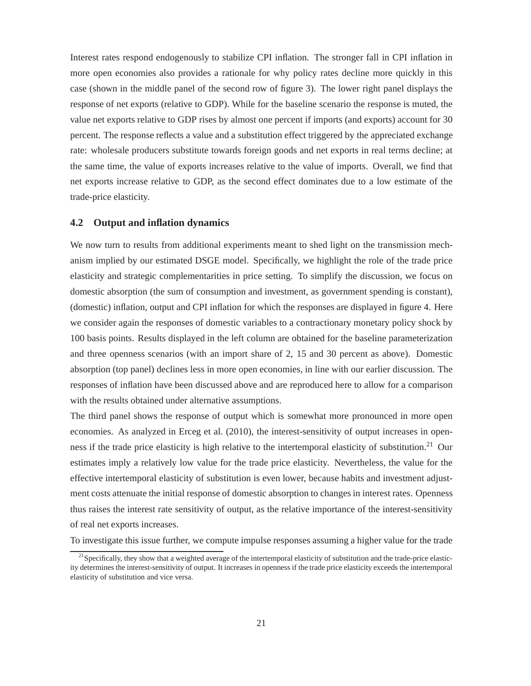Interest rates respond endogenously to stabilize CPI inflation. The stronger fall in CPI inflation in more open economies also provides a rationale for why policy rates decline more quickly in this case (shown in the middle panel of the second row of figure 3). The lower right panel displays the response of net exports (relative to GDP). While for the baseline scenario the response is muted, the value net exports relative to GDP rises by almost one percent if imports (and exports) account for 30 percent. The response reflects a value and a substitution effect triggered by the appreciated exchange rate: wholesale producers substitute towards foreign goods and net exports in real terms decline; at the same time, the value of exports increases relative to the value of imports. Overall, we find that net exports increase relative to GDP, as the second effect dominates due to a low estimate of the trade-price elasticity.

#### **4.2 Output and inflation dynamics**

We now turn to results from additional experiments meant to shed light on the transmission mechanism implied by our estimated DSGE model. Specifically, we highlight the role of the trade price elasticity and strategic complementarities in price setting. To simplify the discussion, we focus on domestic absorption (the sum of consumption and investment, as government spending is constant), (domestic) inflation, output and CPI inflation for which the responses are displayed in figure 4. Here we consider again the responses of domestic variables to a contractionary monetary policy shock by 100 basis points. Results displayed in the left column are obtained for the baseline parameterization and three openness scenarios (with an import share of 2, 15 and 30 percent as above). Domestic absorption (top panel) declines less in more open economies, in line with our earlier discussion. The responses of inflation have been discussed above and are reproduced here to allow for a comparison with the results obtained under alternative assumptions.

The third panel shows the response of output which is somewhat more pronounced in more open economies. As analyzed in Erceg et al. (2010), the interest-sensitivity of output increases in openness if the trade price elasticity is high relative to the intertemporal elasticity of substitution.<sup>21</sup> Our estimates imply a relatively low value for the trade price elasticity. Nevertheless, the value for the effective intertemporal elasticity of substitution is even lower, because habits and investment adjustment costs attenuate the initial response of domestic absorption to changes in interest rates. Openness thus raises the interest rate sensitivity of output, as the relative importance of the interest-sensitivity of real net exports increases.

To investigate this issue further, we compute impulse responses assuming a higher value for the trade

 $21$ Specifically, they show that a weighted average of the intertemporal elasticity of substitution and the trade-price elasticity determines the interest-sensitivity of output. It increases in openness if the trade price elasticity exceeds the intertemporal elasticity of substitution and vice versa.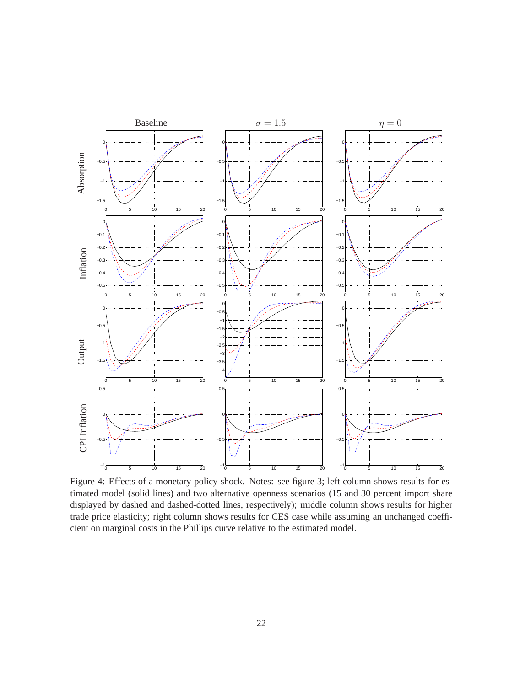

Figure 4: Effects of a monetary policy shock. Notes: see figure 3; left column shows results for estimated model (solid lines) and two alternative openness scenarios (15 and 30 percent import share displayed by dashed and dashed-dotted lines, respectively); middle column shows results for higher trade price elasticity; right column shows results for CES case while assuming an unchanged coefficient on marginal costs in the Phillips curve relative to the estimated model.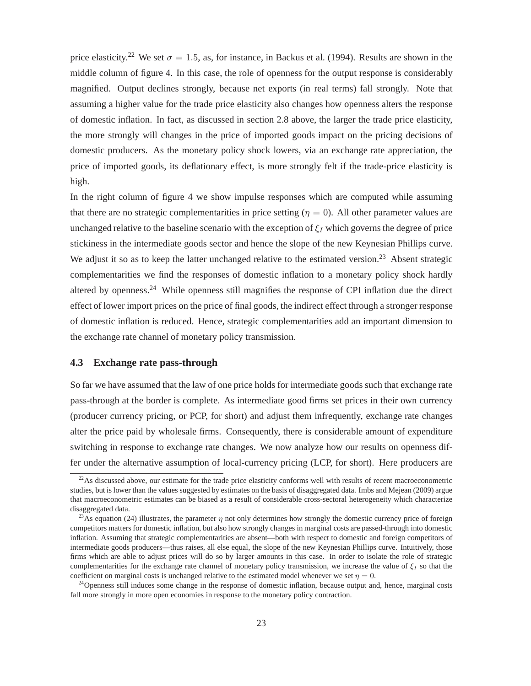price elasticity.<sup>22</sup> We set  $\sigma = 1.5$ , as, for instance, in Backus et al. (1994). Results are shown in the middle column of figure 4. In this case, the role of openness for the output response is considerably magnified. Output declines strongly, because net exports (in real terms) fall strongly. Note that assuming a higher value for the trade price elasticity also changes how openness alters the response of domestic inflation. In fact, as discussed in section 2.8 above, the larger the trade price elasticity, the more strongly will changes in the price of imported goods impact on the pricing decisions of domestic producers. As the monetary policy shock lowers, via an exchange rate appreciation, the price of imported goods, its deflationary effect, is more strongly felt if the trade-price elasticity is high.

In the right column of figure 4 we show impulse responses which are computed while assuming that there are no strategic complementarities in price setting  $(\eta = 0)$ . All other parameter values are unchanged relative to the baseline scenario with the exception of  $\xi_I$  which governs the degree of price stickiness in the intermediate goods sector and hence the slope of the new Keynesian Phillips curve. We adjust it so as to keep the latter unchanged relative to the estimated version.<sup>23</sup> Absent strategic complementarities we find the responses of domestic inflation to a monetary policy shock hardly altered by openness.<sup>24</sup> While openness still magnifies the response of CPI inflation due the direct effect of lower import prices on the price of final goods, the indirect effect through a stronger response of domestic inflation is reduced. Hence, strategic complementarities add an important dimension to the exchange rate channel of monetary policy transmission.

# **4.3 Exchange rate pass-through**

So far we have assumed that the law of one price holds for intermediate goods such that exchange rate pass-through at the border is complete. As intermediate good firms set prices in their own currency (producer currency pricing, or PCP, for short) and adjust them infrequently, exchange rate changes alter the price paid by wholesale firms. Consequently, there is considerable amount of expenditure switching in response to exchange rate changes. We now analyze how our results on openness differ under the alternative assumption of local-currency pricing (LCP, for short). Here producers are

 $22$ As discussed above, our estimate for the trade price elasticity conforms well with results of recent macroeconometric studies, but is lower than the values suggested by estimates on the basis of disaggregated data. Imbs and Mejean (2009) argue that macroeconometric estimates can be biased as a result of considerable cross-sectoral heterogeneity which characterize disaggregated data.

<sup>&</sup>lt;sup>23</sup>As equation (24) illustrates, the parameter  $\eta$  not only determines how strongly the domestic currency price of foreign competitors matters for domestic inflation, but also how strongly changes in marginal costs are passed-through into domestic inflation. Assuming that strategic complementarities are absent—both with respect to domestic and foreign competitors of intermediate goods producers—thus raises, all else equal, the slope of the new Keynesian Phillips curve. Intuitively, those firms which are able to adjust prices will do so by larger amounts in this case. In order to isolate the role of strategic complementarities for the exchange rate channel of monetary policy transmission, we increase the value of  $\xi_I$  so that the coefficient on marginal costs is unchanged relative to the estimated model whenever we set  $\eta = 0$ .

 $24$ Openness still induces some change in the response of domestic inflation, because output and, hence, marginal costs fall more strongly in more open economies in response to the monetary policy contraction.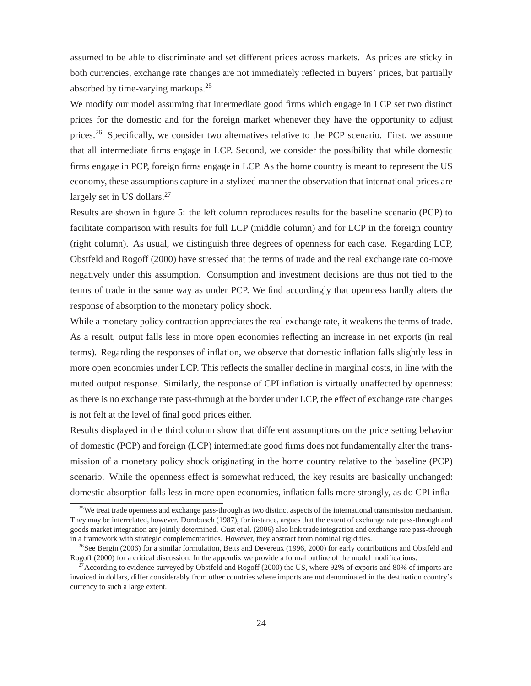assumed to be able to discriminate and set different prices across markets. As prices are sticky in both currencies, exchange rate changes are not immediately reflected in buyers' prices, but partially absorbed by time-varying markups.<sup>25</sup>

We modify our model assuming that intermediate good firms which engage in LCP set two distinct prices for the domestic and for the foreign market whenever they have the opportunity to adjust prices.<sup>26</sup> Specifically, we consider two alternatives relative to the PCP scenario. First, we assume that all intermediate firms engage in LCP. Second, we consider the possibility that while domestic firms engage in PCP, foreign firms engage in LCP. As the home country is meant to represent the US economy, these assumptions capture in a stylized manner the observation that international prices are largely set in US dollars.<sup>27</sup>

Results are shown in figure 5: the left column reproduces results for the baseline scenario (PCP) to facilitate comparison with results for full LCP (middle column) and for LCP in the foreign country (right column). As usual, we distinguish three degrees of openness for each case. Regarding LCP, Obstfeld and Rogoff (2000) have stressed that the terms of trade and the real exchange rate co-move negatively under this assumption. Consumption and investment decisions are thus not tied to the terms of trade in the same way as under PCP. We find accordingly that openness hardly alters the response of absorption to the monetary policy shock.

While a monetary policy contraction appreciates the real exchange rate, it weakens the terms of trade. As a result, output falls less in more open economies reflecting an increase in net exports (in real terms). Regarding the responses of inflation, we observe that domestic inflation falls slightly less in more open economies under LCP. This reflects the smaller decline in marginal costs, in line with the muted output response. Similarly, the response of CPI inflation is virtually unaffected by openness: as there is no exchange rate pass-through at the border under LCP, the effect of exchange rate changes is not felt at the level of final good prices either.

Results displayed in the third column show that different assumptions on the price setting behavior of domestic (PCP) and foreign (LCP) intermediate good firms does not fundamentally alter the transmission of a monetary policy shock originating in the home country relative to the baseline (PCP) scenario. While the openness effect is somewhat reduced, the key results are basically unchanged: domestic absorption falls less in more open economies, inflation falls more strongly, as do CPI infla-

 $^{25}$ We treat trade openness and exchange pass-through as two distinct aspects of the international transmission mechanism. They may be interrelated, however. Dornbusch (1987), for instance, argues that the extent of exchange rate pass-through and goods market integration are jointly determined. Gust et al. (2006) also link trade integration and exchange rate pass-through in a framework with strategic complementarities. However, they abstract from nominal rigidities.

<sup>&</sup>lt;sup>26</sup>See Bergin (2006) for a similar formulation, Betts and Devereux (1996, 2000) for early contributions and Obstfeld and Rogoff (2000) for a critical discussion. In the appendix we provide a formal outline of the model modifications.

<sup>&</sup>lt;sup>27</sup>According to evidence surveyed by Obstfeld and Rogoff (2000) the US, where 92% of exports and 80% of imports are invoiced in dollars, differ considerably from other countries where imports are not denominated in the destination country's currency to such a large extent.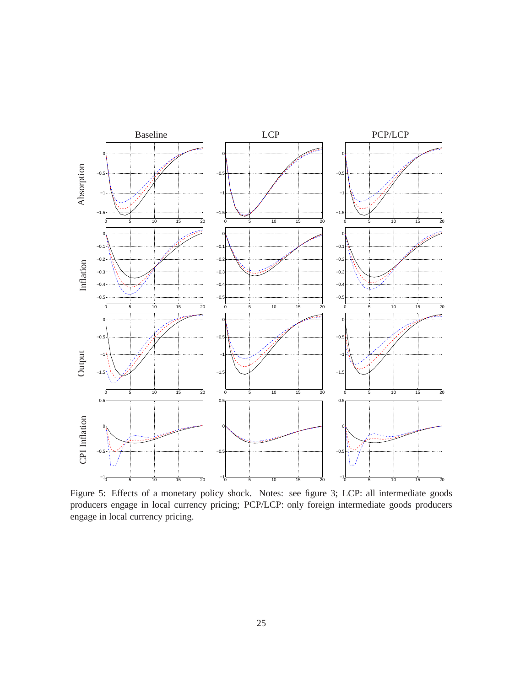

Figure 5: Effects of a monetary policy shock. Notes: see figure 3; LCP: all intermediate goods producers engage in local currency pricing; PCP/LCP: only foreign intermediate goods producers engage in local currency pricing.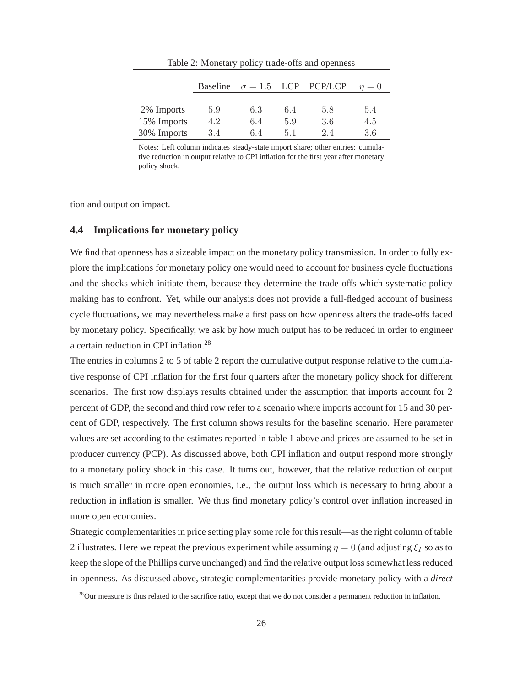|             | <b>Baseline</b> |     |     | $\sigma = 1.5$ LCP PCP/LCP | $n=0$ |
|-------------|-----------------|-----|-----|----------------------------|-------|
| 2% Imports  | 5.9             | 6.3 | 6.4 | 5.8                        | 5.4   |
| 15% Imports | 4.2             | 6.4 | 5.9 | 3.6                        | 4.5   |
| 30% Imports | 3.4             | 6.4 | 5.1 | 2.4                        | 3.6   |

Table 2: Monetary policy trade-offs and openness

Notes: Left column indicates steady-state import share; other entries: cumulative reduction in output relative to CPI inflation for the first year after monetary policy shock.

tion and output on impact.

#### **4.4 Implications for monetary policy**

We find that openness has a sizeable impact on the monetary policy transmission. In order to fully explore the implications for monetary policy one would need to account for business cycle fluctuations and the shocks which initiate them, because they determine the trade-offs which systematic policy making has to confront. Yet, while our analysis does not provide a full-fledged account of business cycle fluctuations, we may nevertheless make a first pass on how openness alters the trade-offs faced by monetary policy. Specifically, we ask by how much output has to be reduced in order to engineer a certain reduction in CPI inflation.<sup>28</sup>

The entries in columns 2 to 5 of table 2 report the cumulative output response relative to the cumulative response of CPI inflation for the first four quarters after the monetary policy shock for different scenarios. The first row displays results obtained under the assumption that imports account for 2 percent of GDP, the second and third row refer to a scenario where imports account for 15 and 30 percent of GDP, respectively. The first column shows results for the baseline scenario. Here parameter values are set according to the estimates reported in table 1 above and prices are assumed to be set in producer currency (PCP). As discussed above, both CPI inflation and output respond more strongly to a monetary policy shock in this case. It turns out, however, that the relative reduction of output is much smaller in more open economies, i.e., the output loss which is necessary to bring about a reduction in inflation is smaller. We thus find monetary policy's control over inflation increased in more open economies.

Strategic complementarities in price setting play some role for this result—as the right column of table 2 illustrates. Here we repeat the previous experiment while assuming  $\eta = 0$  (and adjusting  $\xi_I$  so as to keep the slope of the Phillips curve unchanged) and find the relative output loss somewhat less reduced in openness. As discussed above, strategic complementarities provide monetary policy with a *direct*

 $28$ Our measure is thus related to the sacrifice ratio, except that we do not consider a permanent reduction in inflation.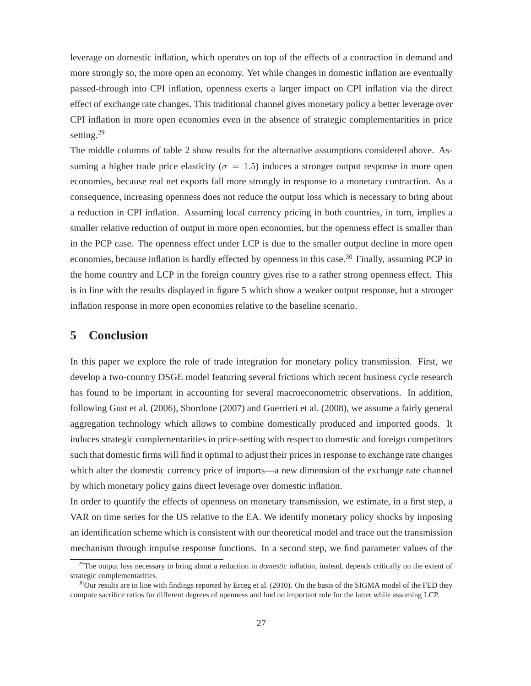leverage on domestic inflation, which operates on top of the effects of a contraction in demand and more strongly so, the more open an economy. Yet while changes in domestic inflation are eventually passed-through into CPI inflation, openness exerts a larger impact on CPI inflation via the direct effect of exchange rate changes. This traditional channel gives monetary policy a better leverage over CPI inflation in more open economies even in the absence of strategic complementarities in price setting.<sup>29</sup>

The middle columns of table 2 show results for the alternative assumptions considered above. Assuming a higher trade price elasticity ( $\sigma = 1.5$ ) induces a stronger output response in more open economies, because real net exports fall more strongly in response to a monetary contraction. As a consequence, increasing openness does not reduce the output loss which is necessary to bring about a reduction in CPI inflation. Assuming local currency pricing in both countries, in turn, implies a smaller relative reduction of output in more open economies, but the openness effect is smaller than in the PCP case. The openness effect under LCP is due to the smaller output decline in more open economies, because inflation is hardly effected by openness in this case.<sup>30</sup> Finally, assuming PCP in the home country and LCP in the foreign country gives rise to a rather strong openness effect. This is in line with the results displayed in figure 5 which show a weaker output response, but a stronger inflation response in more open economies relative to the baseline scenario.

# **5 Conclusion**

In this paper we explore the role of trade integration for monetary policy transmission. First, we develop a two-country DSGE model featuring several frictions which recent business cycle research has found to be important in accounting for several macroeconometric observations. In addition, following Gust et al. (2006), Sbordone (2007) and Guerrieri et al. (2008), we assume a fairly general aggregation technology which allows to combine domestically produced and imported goods. It induces strategic complementarities in price-setting with respect to domestic and foreign competitors such that domestic firms will find it optimal to adjust their prices in response to exchange rate changes which alter the domestic currency price of imports—a new dimension of the exchange rate channel by which monetary policy gains direct leverage over domestic inflation.

In order to quantify the effects of openness on monetary transmission, we estimate, in a first step, a VAR on time series for the US relative to the EA. We identify monetary policy shocks by imposing an identification scheme which is consistent with our theoretical model and trace out the transmission mechanism through impulse response functions. In a second step, we find parameter values of the

<sup>&</sup>lt;sup>29</sup>The output loss necessary to bring about a reduction in *domestic* inflation, instead, depends critically on the extent of strategic complementarities.

 $30$ Our results are in line with findings reported by Erceg et al. (2010). On the basis of the SIGMA model of the FED they compute sacrifice ratios for different degrees of openness and find no important role for the latter while assuming LCP.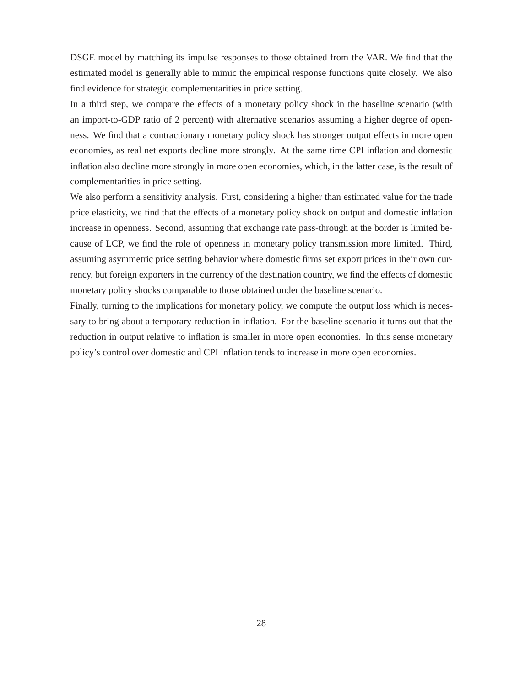DSGE model by matching its impulse responses to those obtained from the VAR. We find that the estimated model is generally able to mimic the empirical response functions quite closely. We also find evidence for strategic complementarities in price setting.

In a third step, we compare the effects of a monetary policy shock in the baseline scenario (with an import-to-GDP ratio of 2 percent) with alternative scenarios assuming a higher degree of openness. We find that a contractionary monetary policy shock has stronger output effects in more open economies, as real net exports decline more strongly. At the same time CPI inflation and domestic inflation also decline more strongly in more open economies, which, in the latter case, is the result of complementarities in price setting.

We also perform a sensitivity analysis. First, considering a higher than estimated value for the trade price elasticity, we find that the effects of a monetary policy shock on output and domestic inflation increase in openness. Second, assuming that exchange rate pass-through at the border is limited because of LCP, we find the role of openness in monetary policy transmission more limited. Third, assuming asymmetric price setting behavior where domestic firms set export prices in their own currency, but foreign exporters in the currency of the destination country, we find the effects of domestic monetary policy shocks comparable to those obtained under the baseline scenario.

Finally, turning to the implications for monetary policy, we compute the output loss which is necessary to bring about a temporary reduction in inflation. For the baseline scenario it turns out that the reduction in output relative to inflation is smaller in more open economies. In this sense monetary policy's control over domestic and CPI inflation tends to increase in more open economies.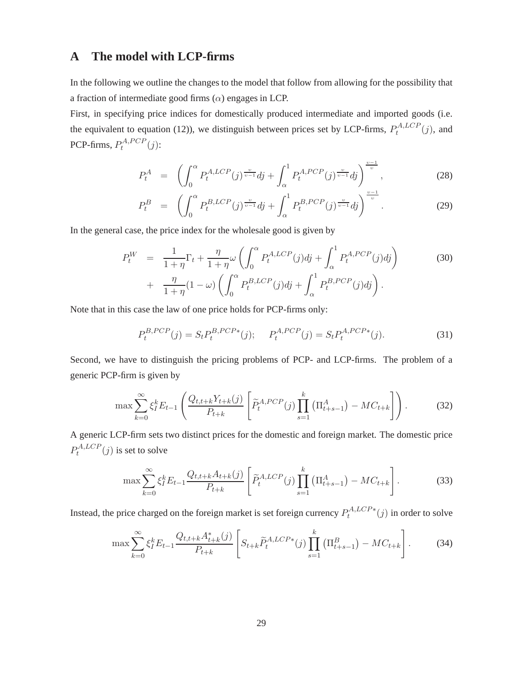# **A The model with LCP-firms**

In the following we outline the changes to the model that follow from allowing for the possibility that a fraction of intermediate good firms  $(\alpha)$  engages in LCP.

First, in specifying price indices for domestically produced intermediate and imported goods (i.e. the equivalent to equation (12)), we distinguish between prices set by LCP-firms,  $P_t^{A, LCF}$  $t^{A, LCP}(j)$ , and PCP-firms,  $P_t^{A,PCP}$  $t^{A,PCP}(j)$ :

$$
P_t^A = \left( \int_0^\alpha P_t^{A, LCP}(j)^{\frac{\upsilon}{\upsilon - 1}} dj + \int_\alpha^1 P_t^{A, PCP}(j)^{\frac{\upsilon}{\upsilon - 1}} dj \right)^{\frac{\upsilon - 1}{\upsilon}}, \tag{28}
$$

$$
P_t^B = \left( \int_0^\alpha P_t^{B, LCP}(j)^{\frac{v}{v-1}} dj + \int_\alpha^1 P_t^{B, PCP}(j)^{\frac{v}{v-1}} dj \right)^{\frac{v-1}{v}}.
$$
 (29)

In the general case, the price index for the wholesale good is given by

$$
P_t^W = \frac{1}{1+\eta} \Gamma_t + \frac{\eta}{1+\eta} \omega \left( \int_0^\alpha P_t^{A, LCP}(j) d j + \int_\alpha^1 P_t^{A, PCP}(j) d j \right) + \frac{\eta}{1+\eta} (1-\omega) \left( \int_0^\alpha P_t^{B, LCP}(j) d j + \int_\alpha^1 P_t^{B, PCP}(j) d j \right).
$$
 (30)

Note that in this case the law of one price holds for PCP-firms only:

$$
P_t^{B,PCP}(j) = S_t P_t^{B,PCP*}(j); \quad P_t^{A,PCP}(j) = S_t P_t^{A,PCP*}(j).
$$
\n(31)

Second, we have to distinguish the pricing problems of PCP- and LCP-firms. The problem of a generic PCP-firm is given by

$$
\max \sum_{k=0}^{\infty} \xi_I^k E_{t-1} \left( \frac{Q_{t,t+k} Y_{t+k}(j)}{P_{t+k}} \left[ \widetilde{P}_t^{A,PCP}(j) \prod_{s=1}^k \left( \Pi_{t+s-1}^A \right) - MC_{t+k} \right] \right). \tag{32}
$$

A generic LCP-firm sets two distinct prices for the domestic and foreign market. The domestic price  $P_t^{A, LCF}$  $t^{A, LCP}(j)$  is set to solve

$$
\max \sum_{k=0}^{\infty} \xi_I^k E_{t-1} \frac{Q_{t,t+k} A_{t+k}(j)}{P_{t+k}} \left[ \widetilde{P}_t^{A, LCP}(j) \prod_{s=1}^k \left( \Pi_{t+s-1}^A \right) - MC_{t+k} \right].
$$
 (33)

Instead, the price charged on the foreign market is set foreign currency  $P_t^{A, LCP*}$  $t^{A, LCP*}(j)$  in order to solve

$$
\max \sum_{k=0}^{\infty} \xi_I^k E_{t-1} \frac{Q_{t,t+k} A_{t+k}^*(j)}{P_{t+k}} \left[ S_{t+k} \widetilde{P}_t^{A, LCP*}(j) \prod_{s=1}^k \left( \Pi_{t+s-1}^B \right) - MC_{t+k} \right].
$$
 (34)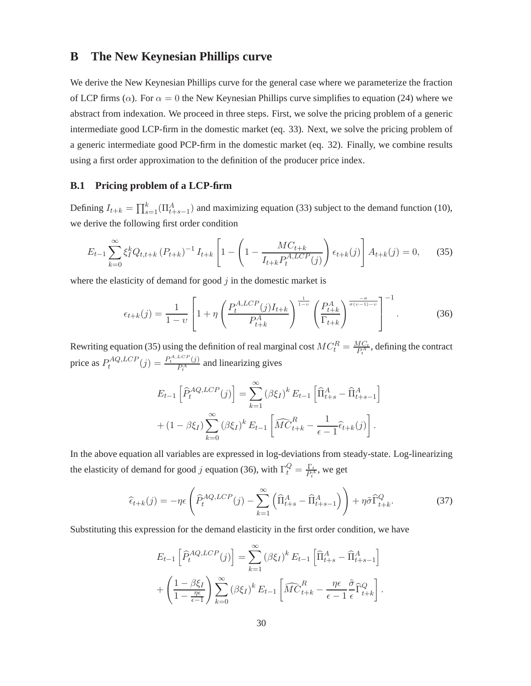# **B The New Keynesian Phillips curve**

We derive the New Keynesian Phillips curve for the general case where we parameterize the fraction of LCP firms ( $\alpha$ ). For  $\alpha = 0$  the New Keynesian Phillips curve simplifies to equation (24) where we abstract from indexation. We proceed in three steps. First, we solve the pricing problem of a generic intermediate good LCP-firm in the domestic market (eq. 33). Next, we solve the pricing problem of a generic intermediate good PCP-firm in the domestic market (eq. 32). Finally, we combine results using a first order approximation to the definition of the producer price index.

## **B.1 Pricing problem of a LCP-firm**

Defining  $I_{t+k} = \prod_{s=1}^{k} (\prod_{t+s-1}^{A})$  and maximizing equation (33) subject to the demand function (10), we derive the following first order condition

$$
E_{t-1} \sum_{k=0}^{\infty} \xi_t^k Q_{t,t+k} (P_{t+k})^{-1} I_{t+k} \left[ 1 - \left( 1 - \frac{MC_{t+k}}{I_{t+k} P_t^{A, LCP}(j)} \right) \epsilon_{t+k}(j) \right] A_{t+k}(j) = 0, \quad (35)
$$

where the elasticity of demand for good  $j$  in the domestic market is

$$
\epsilon_{t+k}(j) = \frac{1}{1-v} \left[ 1 + \eta \left( \frac{P_t^{A, LCP}(j) I_{t+k}}{P_{t+k}^A} \right)^{\frac{1}{1-v}} \left( \frac{P_{t+k}^A}{\Gamma_{t+k}} \right)^{\frac{-\sigma}{\sigma(v-1)-v}} \right]^{-1}.
$$
 (36)

Rewriting equation (35) using the definition of real marginal cost  $MC_t^R = \frac{MC_t}{PA}$  $\frac{W C_t}{P_t^A}$ , defining the contract price as  $P_t^{AQ, LCF}$  $t^{AQ, LCP}(j) = \frac{P_t^{A, LCP}(j)}{P_t^A}$  $\frac{y}{P_t^A}$  and linearizing gives

$$
E_{t-1} \left[ \widehat{P}_t^{AQ, LCP}(j) \right] = \sum_{k=1}^{\infty} (\beta \xi_I)^k E_{t-1} \left[ \widehat{\Pi}_{t+s}^A - \widehat{\Pi}_{t+s-1}^A \right]
$$
  
+  $(1 - \beta \xi_I) \sum_{k=0}^{\infty} (\beta \xi_I)^k E_{t-1} \left[ \widehat{MC}_{t+k}^R - \frac{1}{\epsilon - 1} \widehat{\epsilon}_{t+k}(j) \right].$ 

In the above equation all variables are expressed in log-deviations from steady-state. Log-linearizing the elasticity of demand for good j equation (36), with  $\Gamma_t^Q = \frac{\Gamma_t}{P_t^Q}$  $\frac{1}{P_t^A}$ , we get

$$
\widehat{\epsilon}_{t+k}(j) = -\eta \epsilon \left( \widehat{P}_t^{AQ, LCP}(j) - \sum_{k=1}^{\infty} \left( \widehat{\Pi}_{t+s}^A - \widehat{\Pi}_{t+s-1}^A \right) \right) + \eta \widetilde{\sigma} \widehat{\Gamma}_{t+k}^Q. \tag{37}
$$

Substituting this expression for the demand elasticity in the first order condition, we have

$$
E_{t-1} \left[ \widehat{P}_t^{AQ, LCP}(j) \right] = \sum_{k=1}^{\infty} (\beta \xi_I)^k E_{t-1} \left[ \widehat{\Pi}_{t+s}^A - \widehat{\Pi}_{t+s-1}^A \right]
$$

$$
+ \left( \frac{1 - \beta \xi_I}{1 - \frac{\eta \epsilon}{\epsilon - 1}} \right) \sum_{k=0}^{\infty} (\beta \xi_I)^k E_{t-1} \left[ \widehat{MC}_{t+k}^R - \frac{\eta \epsilon}{\epsilon - 1} \frac{\widetilde{\sigma}}{\epsilon} \widehat{\Gamma}_{t+k}^Q \right].
$$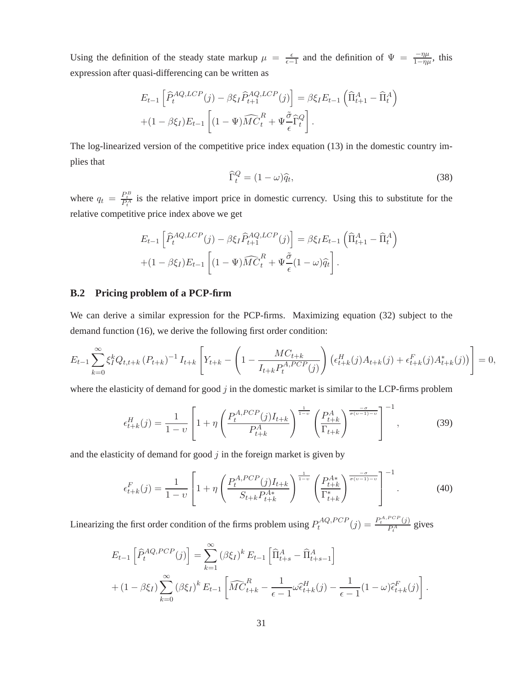Using the definition of the steady state markup  $\mu = \frac{\epsilon}{\epsilon - 1}$  and the definition of  $\Psi = \frac{-\eta\mu}{1 - \eta\mu}$ , this expression after quasi-differencing can be written as

$$
E_{t-1} \left[ \widehat{P}_t^{AQ, LCP}(j) - \beta \xi_I \widehat{P}_{t+1}^{AQ, LCP}(j) \right] = \beta \xi_I E_{t-1} \left( \widehat{\Pi}_{t+1}^A - \widehat{\Pi}_t^A \right)
$$

$$
+ (1 - \beta \xi_I) E_{t-1} \left[ (1 - \Psi) \widehat{MC}_t^R + \Psi \frac{\tilde{\sigma}}{\epsilon} \widehat{\Gamma}_t^Q \right].
$$

The log-linearized version of the competitive price index equation (13) in the domestic country implies that

$$
\widehat{\Gamma}_t^Q = (1 - \omega)\widehat{q}_t,\tag{38}
$$

where  $q_t = \frac{P_t^B}{P_t^A}$  is the relative import price in domestic currency. Using this to substitute for the relative competitive price index above we get

$$
E_{t-1}\left[\widehat{P}_t^{AQ,LCP}(j) - \beta \xi_I \widehat{P}_{t+1}^{AQ,LCP}(j)\right] = \beta \xi_I E_{t-1} \left(\widehat{\Pi}_{t+1}^A - \widehat{\Pi}_t^A\right)
$$

$$
+ (1 - \beta \xi_I) E_{t-1} \left[ (1 - \Psi) \widehat{MC}_t^R + \Psi \frac{\widetilde{\sigma}}{\epsilon} (1 - \omega) \widehat{q}_t \right].
$$

#### **B.2 Pricing problem of a PCP-firm**

We can derive a similar expression for the PCP-firms. Maximizing equation (32) subject to the demand function (16), we derive the following first order condition:

$$
E_{t-1} \sum_{k=0}^{\infty} \xi_l^k Q_{t,t+k} (P_{t+k})^{-1} I_{t+k} \left[ Y_{t+k} - \left( 1 - \frac{MC_{t+k}}{I_{t+k} P_t^{A,PCP}(j)} \right) \left( \epsilon_{t+k}^H(j) A_{t+k}(j) + \epsilon_{t+k}^F(j) A_{t+k}^*(j) \right) \right] = 0,
$$

where the elasticity of demand for good  $j$  in the domestic market is similar to the LCP-firms problem

$$
\epsilon_{t+k}^H(j) = \frac{1}{1-v} \left[ 1 + \eta \left( \frac{P_t^{A,PCP}(j)I_{t+k}}{P_{t+k}^A} \right)^{\frac{1}{1-v}} \left( \frac{P_{t+k}^A}{\Gamma_{t+k}} \right)^{\frac{-\sigma}{\sigma(v-1)-v}} \right]^{-1},
$$
(39)

and the elasticity of demand for good  $j$  in the foreign market is given by

$$
\epsilon_{t+k}^F(j) = \frac{1}{1-v} \left[ 1 + \eta \left( \frac{P_t^{A,PCP}(j)I_{t+k}}{S_{t+k}P_{t+k}^{A*}} \right)^{\frac{1}{1-v}} \left( \frac{P_{t+k}^{A*}}{\Gamma_{t+k}^*} \right)^{\frac{-\sigma}{\sigma(v-1)-v}} \right]^{-1} . \tag{40}
$$

Linearizing the first order condition of the firms problem using  $P_t^{AQ,PCP}$  $t^{AQ,PCP}(j) = \frac{P_t^{A,PCP}(j)}{P_t^A}$  $\frac{(J)}{P_t^A}$  gives

$$
E_{t-1} \left[ \widehat{P}_t^{AQ,PCP}(j) \right] = \sum_{k=1}^{\infty} (\beta \xi_I)^k E_{t-1} \left[ \widehat{\Pi}_{t+s}^A - \widehat{\Pi}_{t+s-1}^A \right]
$$
  
+  $(1 - \beta \xi_I) \sum_{k=0}^{\infty} (\beta \xi_I)^k E_{t-1} \left[ \widehat{MC}_{t+k}^R - \frac{1}{\epsilon - 1} \omega \widehat{\epsilon}_{t+k}^H(j) - \frac{1}{\epsilon - 1} (1 - \omega) \widehat{\epsilon}_{t+k}^F(j) \right].$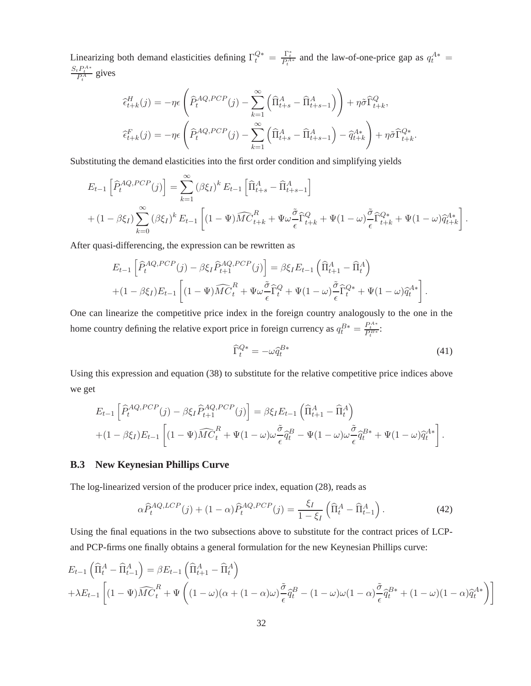Linearizing both demand elasticities defining  $\Gamma_t^{Q*} = \frac{\Gamma_t^*}{P_t^{A*}}$  and the law-of-one-price gap as  $q_t^{A*}$  =  $\frac{S_t P_t^{A*}}{P_t^A}$  gives

$$
\begin{split} \hat{\epsilon}_{t+k}^H(j) &= -\eta \epsilon \left( \widehat{P}_t^{AQ,PCP}(j) - \sum_{k=1}^{\infty} \left( \widehat{\Pi}_{t+s}^A - \widehat{\Pi}_{t+s-1}^A \right) \right) + \eta \tilde{\sigma} \widehat{\Gamma}_{t+k}^Q, \\ \hat{\epsilon}_{t+k}^F(j) &= -\eta \epsilon \left( \widehat{P}_t^{AQ,PCP}(j) - \sum_{k=1}^{\infty} \left( \widehat{\Pi}_{t+s}^A - \widehat{\Pi}_{t+s-1}^A \right) - \widehat{q}_{t+k}^{A*} \right) + \eta \tilde{\sigma} \widehat{\Gamma}_{t+k}^{Q*}. \end{split}
$$

Substituting the demand elasticities into the first order condition and simplifying yields

$$
E_{t-1}\left[\widehat{P}_t^{AQ,PCP}(j)\right] = \sum_{k=1}^{\infty} (\beta \xi_I)^k E_{t-1} \left[\widehat{\Pi}_{t+s}^A - \widehat{\Pi}_{t+s-1}^A\right]
$$
  
+ 
$$
(1 - \beta \xi_I) \sum_{k=0}^{\infty} (\beta \xi_I)^k E_{t-1} \left[ (1 - \Psi) \widehat{MC}_{t+k}^R + \Psi \omega \frac{\widetilde{\sigma}}{\epsilon} \widehat{\Gamma}_{t+k}^Q + \Psi (1 - \omega) \frac{\widetilde{\sigma}}{\epsilon} \widehat{\Gamma}_{t+k}^{Q*} + \Psi (1 - \omega) \widehat{q}_{t+k}^{A*} \right].
$$

After quasi-differencing, the expression can be rewritten as

$$
E_{t-1}\left[\widehat{P}_t^{AQ,PCP}(j) - \beta \xi_I \widehat{P}_{t+1}^{AQ,PCP}(j)\right] = \beta \xi_I E_{t-1}\left(\widehat{\Pi}_{t+1}^A - \widehat{\Pi}_t^A\right)
$$

$$
+ (1 - \beta \xi_I) E_{t-1}\left[ (1 - \Psi) \widehat{MC}_t^R + \Psi \omega \frac{\widetilde{\sigma}}{\epsilon} \widehat{\Gamma}_t^Q + \Psi (1 - \omega) \frac{\widetilde{\sigma}}{\epsilon} \widehat{\Gamma}_t^{Q*} + \Psi (1 - \omega) \widehat{q}_t^{A*} \right].
$$

One can linearize the competitive price index in the foreign country analogously to the one in the home country defining the relative export price in foreign currency as  $q_t^{B*} = \frac{P_t^{A*}}{P_t^{B*}}$ .

$$
\widehat{\Gamma}_t^{Q*} = -\omega \widehat{q}_t^{B*} \tag{41}
$$

Using this expression and equation (38) to substitute for the relative competitive price indices above we get

$$
E_{t-1}\left[\widehat{P}_t^{AQ,PCP}(j) - \beta \xi_I \widehat{P}_{t+1}^{AQ,PCP}(j)\right] = \beta \xi_I E_{t-1}\left(\widehat{\Pi}_{t+1}^A - \widehat{\Pi}_t^A\right)
$$

$$
+ (1 - \beta \xi_I)E_{t-1}\left[ (1 - \Psi)\widehat{MC}_t^R + \Psi(1 - \omega)\omega \frac{\tilde{\sigma}}{\epsilon} \widehat{q}_t^B - \Psi(1 - \omega)\omega \frac{\tilde{\sigma}}{\epsilon} \widehat{q}_t^{B*} + \Psi(1 - \omega)\widehat{q}_t^{A*} \right].
$$

#### **B.3 New Keynesian Phillips Curve**

The log-linearized version of the producer price index, equation (28), reads as

$$
\alpha \widehat{P}_t^{AQ, LCP}(j) + (1 - \alpha) \widehat{P}_t^{AQ, PCP}(j) = \frac{\xi_I}{1 - \xi_I} \left( \widehat{\Pi}_t^A - \widehat{\Pi}_{t-1}^A \right). \tag{42}
$$

Using the final equations in the two subsections above to substitute for the contract prices of LCPand PCP-firms one finally obtains a general formulation for the new Keynesian Phillips curve:

$$
E_{t-1}\left(\widehat{\Pi}_{t}^{A} - \widehat{\Pi}_{t-1}^{A}\right) = \beta E_{t-1}\left(\widehat{\Pi}_{t+1}^{A} - \widehat{\Pi}_{t}^{A}\right)
$$
  
+  $\lambda E_{t-1}\left[ (1 - \Psi)\widehat{MC}_{t}^{R} + \Psi\left((1 - \omega)(\alpha + (1 - \alpha)\omega)\frac{\tilde{\sigma}}{\epsilon}\widehat{q}_{t}^{B} - (1 - \omega)\omega(1 - \alpha)\frac{\tilde{\sigma}}{\epsilon}\widehat{q}_{t}^{B*} + (1 - \omega)(1 - \alpha)\widehat{q}_{t}^{A*} \right) \right]$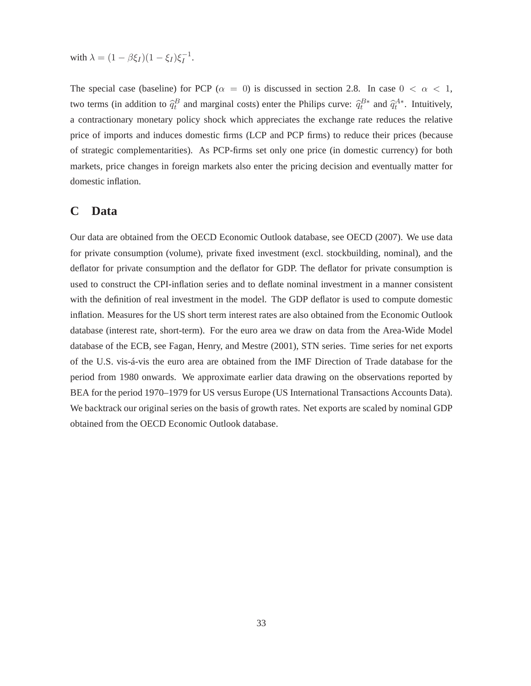with  $\lambda = (1 - \beta \xi_I)(1 - \xi_I)\xi_I^{-1}$ .

The special case (baseline) for PCP ( $\alpha = 0$ ) is discussed in section 2.8. In case  $0 < \alpha < 1$ , two terms (in addition to  $\hat{q}_t^B$  and marginal costs) enter the Philips curve:  $\hat{q}_t^{B*}$  and  $\hat{q}_t^{A*}$ . Intuitively, a contractionary monetary policy shock which appreciates the exchange rate reduces the relative price of imports and induces domestic firms (LCP and PCP firms) to reduce their prices (because of strategic complementarities). As PCP-firms set only one price (in domestic currency) for both markets, price changes in foreign markets also enter the pricing decision and eventually matter for domestic inflation.

# **C Data**

Our data are obtained from the OECD Economic Outlook database, see OECD (2007). We use data for private consumption (volume), private fixed investment (excl. stockbuilding, nominal), and the deflator for private consumption and the deflator for GDP. The deflator for private consumption is used to construct the CPI-inflation series and to deflate nominal investment in a manner consistent with the definition of real investment in the model. The GDP deflator is used to compute domestic inflation. Measures for the US short term interest rates are also obtained from the Economic Outlook database (interest rate, short-term). For the euro area we draw on data from the Area-Wide Model database of the ECB, see Fagan, Henry, and Mestre (2001), STN series. Time series for net exports of the U.S. vis-á-vis the euro area are obtained from the IMF Direction of Trade database for the period from 1980 onwards. We approximate earlier data drawing on the observations reported by BEA for the period 1970–1979 for US versus Europe (US International Transactions Accounts Data). We backtrack our original series on the basis of growth rates. Net exports are scaled by nominal GDP obtained from the OECD Economic Outlook database.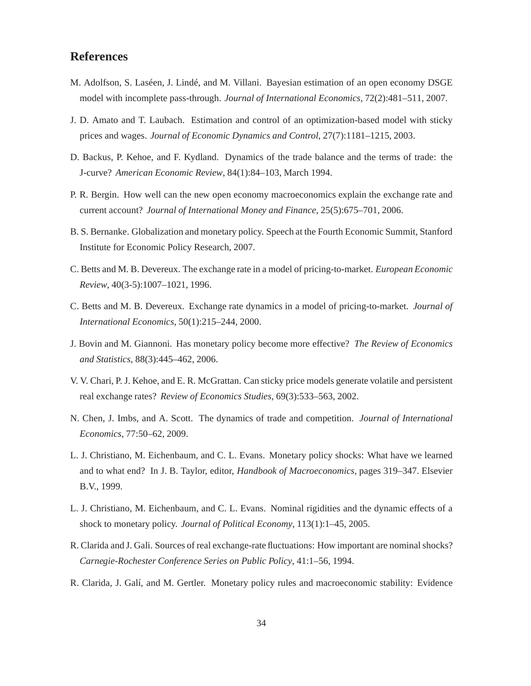# **References**

- M. Adolfson, S. Laséen, J. Lindé, and M. Villani. Bayesian estimation of an open economy DSGE model with incomplete pass-through. *Journal of International Economics*, 72(2):481–511, 2007.
- J. D. Amato and T. Laubach. Estimation and control of an optimization-based model with sticky prices and wages. *Journal of Economic Dynamics and Control*, 27(7):1181–1215, 2003.
- D. Backus, P. Kehoe, and F. Kydland. Dynamics of the trade balance and the terms of trade: the J-curve? *American Economic Review*, 84(1):84–103, March 1994.
- P. R. Bergin. How well can the new open economy macroeconomics explain the exchange rate and current account? *Journal of International Money and Finance*, 25(5):675–701, 2006.
- B. S. Bernanke. Globalization and monetary policy. Speech at the Fourth Economic Summit, Stanford Institute for Economic Policy Research, 2007.
- C. Betts and M. B. Devereux. The exchange rate in a model of pricing-to-market. *European Economic Review*, 40(3-5):1007–1021, 1996.
- C. Betts and M. B. Devereux. Exchange rate dynamics in a model of pricing-to-market. *Journal of International Economics*, 50(1):215–244, 2000.
- J. Bovin and M. Giannoni. Has monetary policy become more effective? *The Review of Economics and Statistics*, 88(3):445–462, 2006.
- V. V. Chari, P. J. Kehoe, and E. R. McGrattan. Can sticky price models generate volatile and persistent real exchange rates? *Review of Economics Studies*, 69(3):533–563, 2002.
- N. Chen, J. Imbs, and A. Scott. The dynamics of trade and competition. *Journal of International Economics*, 77:50–62, 2009.
- L. J. Christiano, M. Eichenbaum, and C. L. Evans. Monetary policy shocks: What have we learned and to what end? In J. B. Taylor, editor, *Handbook of Macroeconomics*, pages 319–347. Elsevier B.V., 1999.
- L. J. Christiano, M. Eichenbaum, and C. L. Evans. Nominal rigidities and the dynamic effects of a shock to monetary policy. *Journal of Political Economy*, 113(1):1–45, 2005.
- R. Clarida and J. Gali. Sources of real exchange-rate fluctuations: How important are nominal shocks? *Carnegie-Rochester Conference Series on Public Policy*, 41:1–56, 1994.
- R. Clarida, J. Galí, and M. Gertler. Monetary policy rules and macroeconomic stability: Evidence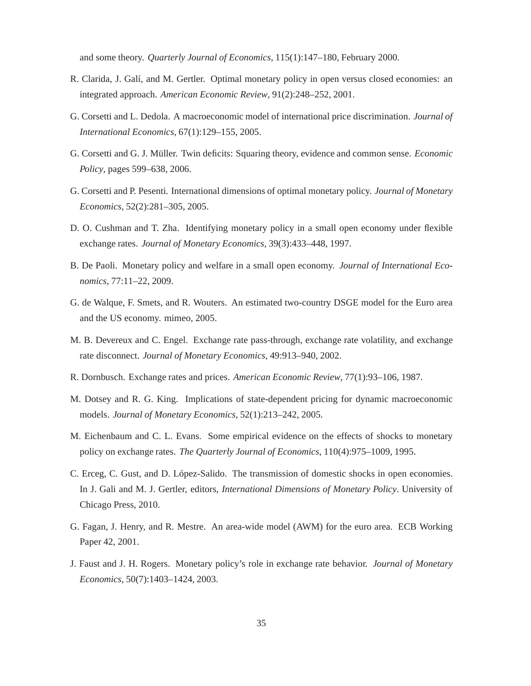and some theory. *Quarterly Journal of Economics*, 115(1):147–180, February 2000.

- R. Clarida, J. Galí, and M. Gertler. Optimal monetary policy in open versus closed economies: an integrated approach. *American Economic Review*, 91(2):248–252, 2001.
- G. Corsetti and L. Dedola. A macroeconomic model of international price discrimination. *Journal of International Economics*, 67(1):129–155, 2005.
- G. Corsetti and G. J. Müller. Twin deficits: Squaring theory, evidence and common sense. *Economic Policy*, pages 599–638, 2006.
- G. Corsetti and P. Pesenti. International dimensions of optimal monetary policy. *Journal of Monetary Economics*, 52(2):281–305, 2005.
- D. O. Cushman and T. Zha. Identifying monetary policy in a small open economy under flexible exchange rates. *Journal of Monetary Economics*, 39(3):433–448, 1997.
- B. De Paoli. Monetary policy and welfare in a small open economy. *Journal of International Economics*, 77:11–22, 2009.
- G. de Walque, F. Smets, and R. Wouters. An estimated two-country DSGE model for the Euro area and the US economy. mimeo, 2005.
- M. B. Devereux and C. Engel. Exchange rate pass-through, exchange rate volatility, and exchange rate disconnect. *Journal of Monetary Economics*, 49:913–940, 2002.
- R. Dornbusch. Exchange rates and prices. *American Economic Review*, 77(1):93–106, 1987.
- M. Dotsey and R. G. King. Implications of state-dependent pricing for dynamic macroeconomic models. *Journal of Monetary Economics*, 52(1):213–242, 2005.
- M. Eichenbaum and C. L. Evans. Some empirical evidence on the effects of shocks to monetary policy on exchange rates. *The Quarterly Journal of Economics*, 110(4):975–1009, 1995.
- C. Erceg, C. Gust, and D. López-Salido. The transmission of domestic shocks in open economies. In J. Gali and M. J. Gertler, editors, *International Dimensions of Monetary Policy*. University of Chicago Press, 2010.
- G. Fagan, J. Henry, and R. Mestre. An area-wide model (AWM) for the euro area. ECB Working Paper 42, 2001.
- J. Faust and J. H. Rogers. Monetary policy's role in exchange rate behavior. *Journal of Monetary Economics*, 50(7):1403–1424, 2003.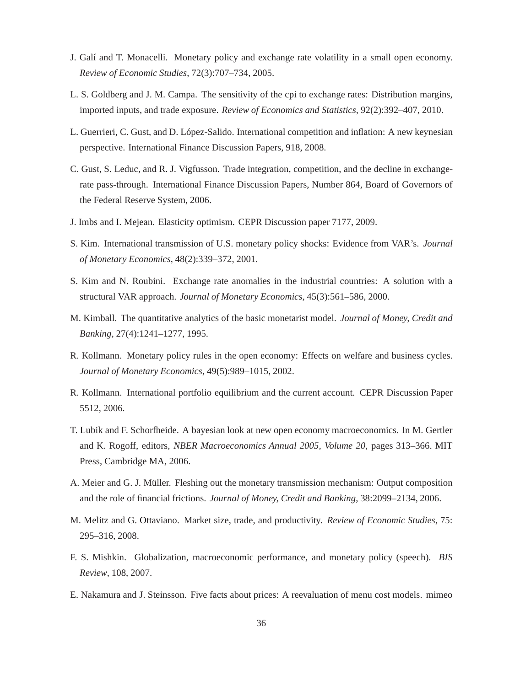- J. Galí and T. Monacelli. Monetary policy and exchange rate volatility in a small open economy. *Review of Economic Studies*, 72(3):707–734, 2005.
- L. S. Goldberg and J. M. Campa. The sensitivity of the cpi to exchange rates: Distribution margins, imported inputs, and trade exposure. *Review of Economics and Statistics*, 92(2):392–407, 2010.
- L. Guerrieri, C. Gust, and D. López-Salido. International competition and inflation: A new keynesian perspective. International Finance Discussion Papers, 918, 2008.
- C. Gust, S. Leduc, and R. J. Vigfusson. Trade integration, competition, and the decline in exchangerate pass-through. International Finance Discussion Papers, Number 864, Board of Governors of the Federal Reserve System, 2006.
- J. Imbs and I. Mejean. Elasticity optimism. CEPR Discussion paper 7177, 2009.
- S. Kim. International transmission of U.S. monetary policy shocks: Evidence from VAR's. *Journal of Monetary Economics*, 48(2):339–372, 2001.
- S. Kim and N. Roubini. Exchange rate anomalies in the industrial countries: A solution with a structural VAR approach. *Journal of Monetary Economics*, 45(3):561–586, 2000.
- M. Kimball. The quantitative analytics of the basic monetarist model. *Journal of Money, Credit and Banking*, 27(4):1241–1277, 1995.
- R. Kollmann. Monetary policy rules in the open economy: Effects on welfare and business cycles. *Journal of Monetary Economics*, 49(5):989–1015, 2002.
- R. Kollmann. International portfolio equilibrium and the current account. CEPR Discussion Paper 5512, 2006.
- T. Lubik and F. Schorfheide. A bayesian look at new open economy macroeconomics. In M. Gertler and K. Rogoff, editors, *NBER Macroeconomics Annual 2005, Volume 20*, pages 313–366. MIT Press, Cambridge MA, 2006.
- A. Meier and G. J. Müller. Fleshing out the monetary transmission mechanism: Output composition and the role of financial frictions. *Journal of Money, Credit and Banking*, 38:2099–2134, 2006.
- M. Melitz and G. Ottaviano. Market size, trade, and productivity. *Review of Economic Studies*, 75: 295–316, 2008.
- F. S. Mishkin. Globalization, macroeconomic performance, and monetary policy (speech). *BIS Review*, 108, 2007.
- E. Nakamura and J. Steinsson. Five facts about prices: A reevaluation of menu cost models. mimeo